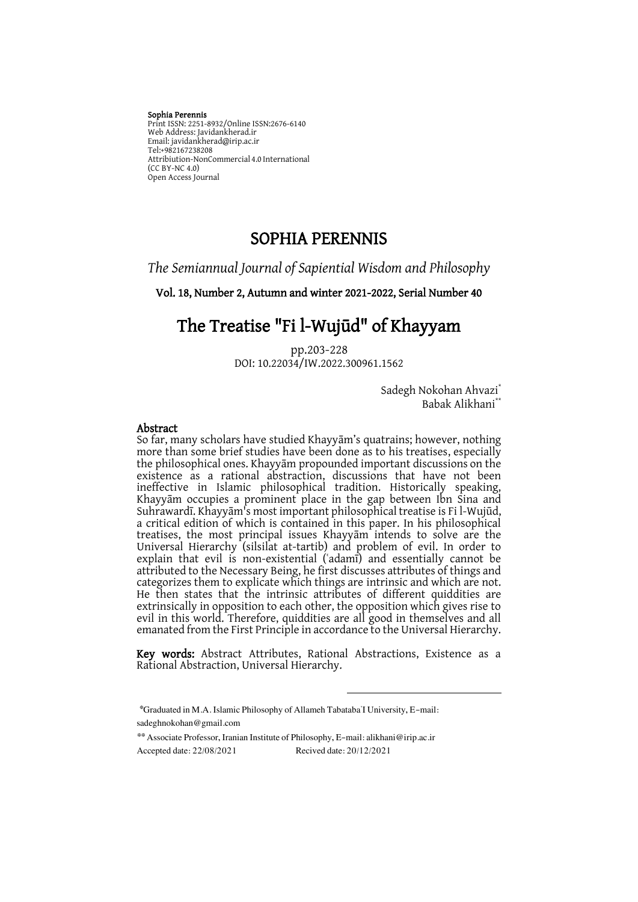#### Sophia Perennis

Print ISSN: 2251-8932/Online ISSN:2676-6140 Web Address: Javidankherad.ir Email[: javidankherad@irip.ac.ir](mailto:javidankherad@irip.ac.ir) [Tel:+982167238208](tel:+982167238208) Attribiution-NonCommercial 4.0 International (CC BY-NC 4.0) Open Access Journal

## SOPHIA PERENNIS

*The Semiannual Journal of Sapiential Wisdom and Philosophy*

Vol. 18, Number 2, Autumn and winter 2021-2022, Serial Number 40

# The Treatise "Fi l-Wujūd" of Khayyam

pp.203-228 DOI: 10.22034/IW.2022.300961.1562

> Sadegh Nokohan Ahvazi<sup>\*</sup> Babak Alikhani<sup>\*</sup>

#### Abstract

So far, many scholars have studied Khayyām's quatrains; however, nothing more than some brief studies have been done as to his treatises, especially the philosophical ones. Khayyām propounded important discussions on the existence as a rational abstraction, discussions that have not been ineffective in Islamic philosophical tradition. Historically speaking, Khayyām occupies a prominent place in the gap between Ibn Sina and Suhrawardī. Khayyām's most important philosophical treatise is Fi l-Wujūd, a critical edition of which is contained in this paper. In his philosophical treatises, the most principal issues Khayyām intends to solve are the Universal Hierarchy (silsilat at-tartib) and problem of evil. In order to explain that evil is non-existential (ʿadamī) and essentially cannot be attributed to the Necessary Being, he first discusses attributes of things and categorizes them to explicate which things are intrinsic and which are not. He then states that the intrinsic attributes of different quiddities are extrinsically in opposition to each other, the opposition which gives rise to evil in this world. Therefore, quiddities are all good in themselves and all emanated from the First Principle in accordance to the Universal Hierarchy.

Key words: Abstract Attributes, Rational Abstractions, Existence as a Rational Abstraction, Universal Hierarchy.

\*Graduated in M.A. Islamic Philosophy of Allameh Tabataba'I University, E-mail: sadeghnokohan@gmail.com

Associate Professor, Iranian Institute of Philosophy, E-mail: alikhani@irip.ac.ir \*\* Accepted date: 22/08/2021 Recived date: 20/12/2021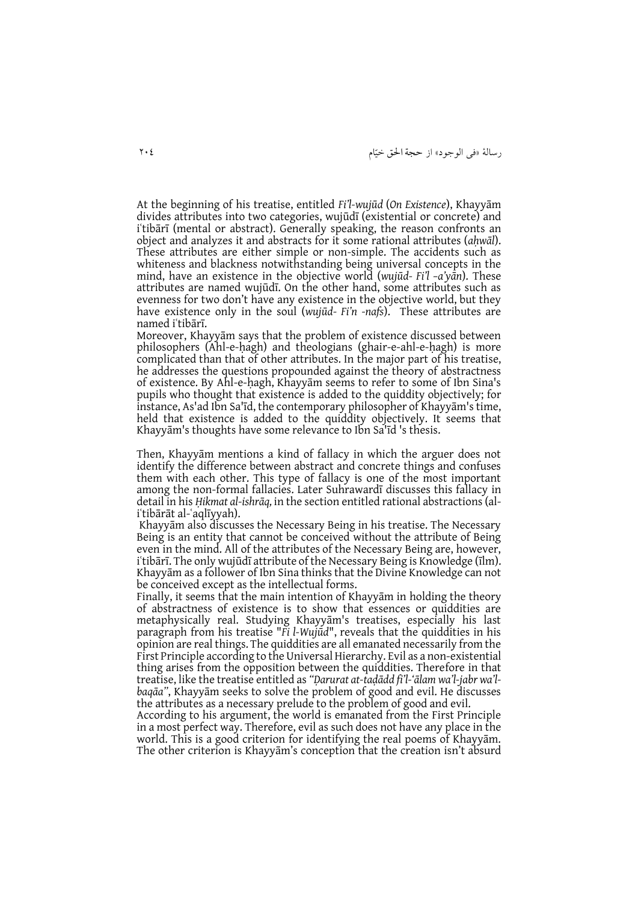رسالۀ »فی الوجود« از حجة احلق خیّام 402

At the beginning of his treatise, entitled *Fi'l-wujūd* (*On Existence*), Khayyām divides attributes into two categories, wujūdī (existential or concrete) and i'tibārī (mental or abstract). Generally speaking, the reason confronts an object and analyzes it and abstracts for it some rational attributes (*aḥwāl*). These attributes are either simple or non-simple. The accidents such as whiteness and blackness notwithstanding being universal concepts in the mind, have an existence in the objective world (*wujūd- Fi'l –a'yān*). These attributes are named wujūdī. On the other hand, some attributes such as evenness for two don't have any existence in the objective world, but they have existence only in the soul (*wujūd- Fi'n -nafs*). These attributes are named iʿtibārī.

Moreover, Khayyām says that the problem of existence discussed between philosophers (Ahl-e-hagh) and theologians (ghair-e-ahl-e-hagh) is more complicated than that of other attributes. In the major part of his treatise, he addresses the questions propounded against the theory of abstractness of existence. By Ahl-e-ḥagh, Khayyām seems to refer to some of Ibn Sina's pupils who thought that existence is added to the quiddity objectively; for instance, As'ad Ibn Sa'īd, the contemporary philosopher of Khayyām's time, held that existence is added to the quiddity objectively. It seems that Khayyām's thoughts have some relevance to Ibn Sa'īd 's thesis.

Then, Khayyām mentions a kind of fallacy in which the arguer does not identify the difference between abstract and concrete things and confuses them with each other. This type of fallacy is one of the most important among the non-formal fallacies. Later Suhrawardī discusses this fallacy in detail in his *Ḥikmat al-ishrāq,* in the section entitled rational abstractions (aliʿtibārāt al-ʿaqlīyyah).

Khayyām also discusses the Necessary Being in his treatise. The Necessary Being is an entity that cannot be conceived without the attribute of Being even in the mind. All of the attributes of the Necessary Being are, however, iʿtibārī. The only wujūdī attribute of the Necessary Being is Knowledge (īlm). Khayyām as a follower of Ibn Sina thinks that the Divine Knowledge can not be conceived except as the intellectual forms.

Finally, it seems that the main intention of Khayyām in holding the theory of abstractness of existence is to show that essences or quiddities are metaphysically real. Studying Khayyām's treatises, especially his last paragraph from his treatise "*Fi l-Wujūd*", reveals that the quiddities in his opinion are real things. The quiddities are all emanated necessarily from the First Principle according to the Universal Hierarchy. Evil as a non-existential thing arises from the opposition between the quiddities. Therefore in that treatise, like the treatise entitled as *"Ḍarurat at-taḍādd fi'l-'ālam wa'l-jabr wa'lbaqāa"*, Khayyām seeks to solve the problem of good and evil. He discusses the attributes as a necessary prelude to the problem of good and evil.

According to his argument, the world is emanated from the First Principle in a most perfect way. Therefore, evil as such does not have any place in the world. This is a good criterion for identifying the real poems of Khayyām. The other criterion is Khayyām's conception that the creation isn't absurd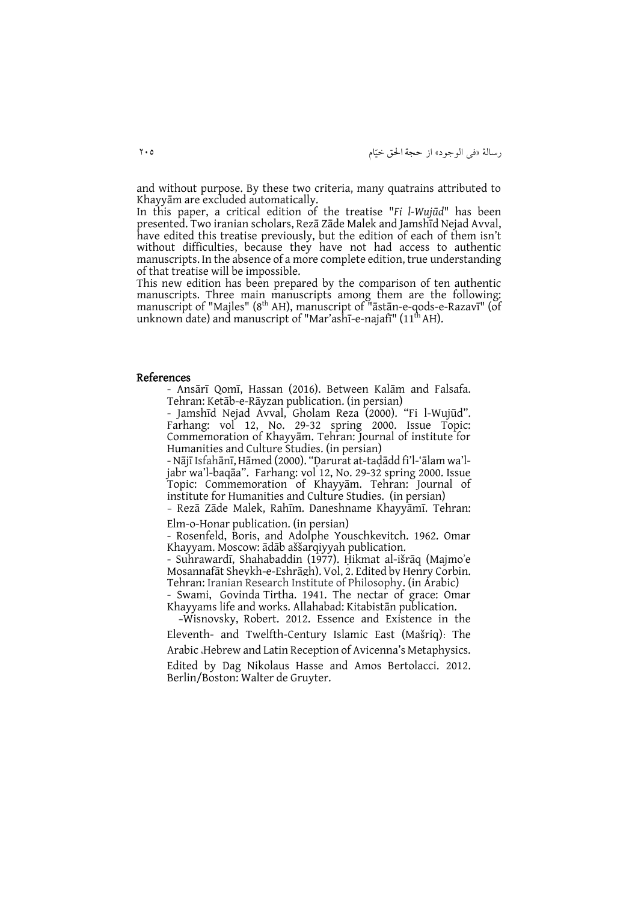and without purpose. By these two criteria, many quatrains attributed to Khayyām are excluded automatically.

In this paper, a critical edition of the treatise "*Fi l-Wujūd*" has been presented. Two iranian scholars, Rezā Zāde Malek and Jamshīd Nejad Avval, have edited this treatise previously, but the edition of each of them isn't without difficulties, because they have not had access to authentic manuscripts. In the absence of a more complete edition, true understanding of that treatise will be impossible.

This new edition has been prepared by the comparison of ten authentic manuscripts. Three main manuscripts among them are the following: manuscript of "Majles" (8<sup>th</sup> AH), manuscript of "āstān-e-qods-e-Razavī" (of unknown date) and manuscript of "Mar'ashī-e-najafī"  $(11<sup>th</sup> AH)$ .

#### References

- Ansārī Qomī, Hassan (2016). Between Kalām and Falsafa. Tehran: Ketāb-e-Rāyzan publication. (in persian)

- Jamshīd Nejad Avval, Gholam Reza (2000). "Fi l-Wujūd". Farhang: vol 12, No. 29-32 spring 2000. Issue Topic: Commemoration of Khayyām. Tehran: Journal of institute for Humanities and Culture Studies. (in persian)

- Nājī Isfahānī, Hāmed (2000). "Ḍarurat at-taḍādd fi'l-'ālam wa'ljabr wa'l-baqāa". Farhang: vol 12, No. 29-32 spring 2000. Issue Topic: Commemoration of Khayyām. Tehran: Journal of institute for Humanities and Culture Studies. (in persian)

- Rezā Zāde Malek, Rahīm. Daneshname Khayyāmī. Tehran: Elm-o-Honar publication. (in persian)

- Rosenfeld, Boris, and Adolphe Youschkevitch. 1962. Omar Khayyam. Moscow: ādāb aššarqiyyah publication.

- Suhrawardī, Shahabaddin (1977). Ḥikmat al-išrāq (Majmoʾe Mosannafāt Sheykh-e-Eshrāgh). Vol, 2. Edited by Henry Corbin. Tehran: Iranian Research Institute of Philosophy. (in Arabic)

- Swami, Govinda Tirtha. 1941. The nectar of grace: Omar Khayyams life and works. Allahabad: Kitabistān publication.

 -Wisnovsky, Robert. 2012. Essence and Existence in the Eleventh- and Twelfth-Century Islamic East (Mašriq): The Arabic ،Hebrew and Latin Reception of Avicenna's Metaphysics. Edited by Dag Nikolaus Hasse and Amos Bertolacci. 2012. Berlin/Boston: Walter de Gruyter.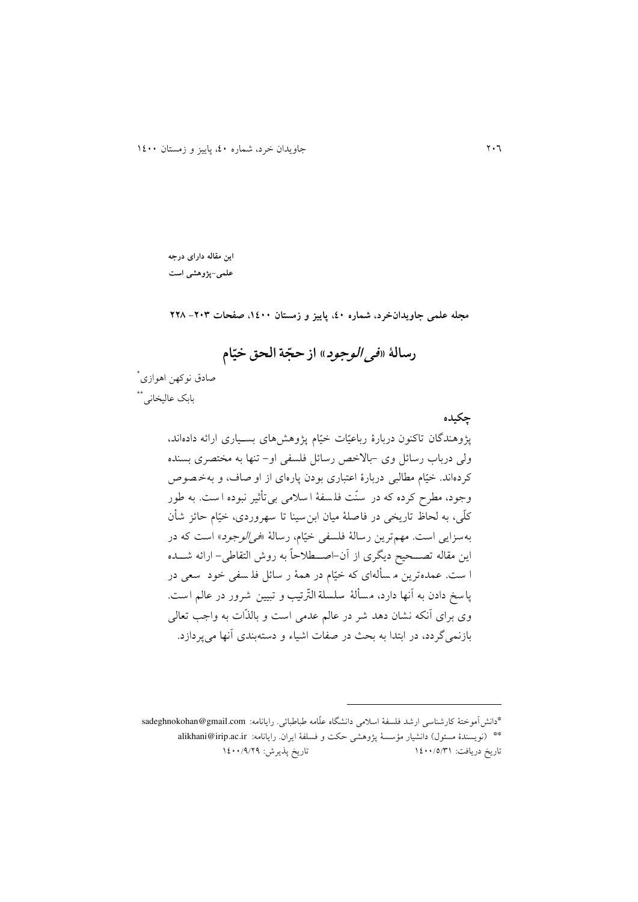## **این مقاله دارای درجه**

**علمی-پژوهشی است**

**مجله علمی جاویدانخرد، شماره ،04 پاییز و زمستان ،0044 صفحات -342 332**

#### **ّ رسالۀ »فی الوجود« ة ال از حج حق ام خی ّ**

\* صادق نوکهن اهوازی <sub>.</sub><br>بابک عالیخانی\*\*

#### **چکیده**

پژوهندگان تاکنون دربارۀ رباعیّات خیّام پژوهشهای بسییاری ارائه دادهاند، ولی درباب رسائل وی -باالخص رسائل فلسفی او- تنها به مختصری بسنده کردهاند. خیّام مطالبی دربارۀ اعتباری بودن پارهای از او صاف، و بهخ صوص وجود، مطرح کرده که در سنّت فل سفۀ ا سالمی بی تأثیر نبوده ا ست. به طور کلّی، به لحاظ تاريخی در فاصلۀ میان ابنسینا تا سهروردی ، خیّام حائز شأن بهسزايی است. مهم ترين رسالۀ فلسفی خيّام، رسالۀ «*في الوجود*» است که در اين مقاله تصییحید ديیری از ن-اصییطالحا به روش التقاطی- ارائه شییده ا ست. عمدهترين م س ألهای که خیّام در همۀ ر سائل فل سفی خود سعی در پاسخ دادن به آنها دارد، مسألۀ سلسلة التّرتيب و تبيين شرور در عالم است. وی برای أنکه نشان دهد شر در عالم عدمی است و بالذّات به واجب تعالی بازنمیگردد، در ابتدا به بحث در صفات اشیاء و دستهبندی آنها میپردازد.

\*دانش موختۀ کارشناسی ارشد فلسفۀ اسالمی دانشیاه علّامه طباطبائی. رايانامه: com.gmail@sadeghnokohan \*\* (نويسندۀ مسئول) دانشيار مؤسسۀ پژوهشی حکت و فسلفۀ ايران. رايانامه: alikhani@irip.ac.ir تاريخ دريافت: 0200/2/10 تاريخ پذيرش: 0200/2/42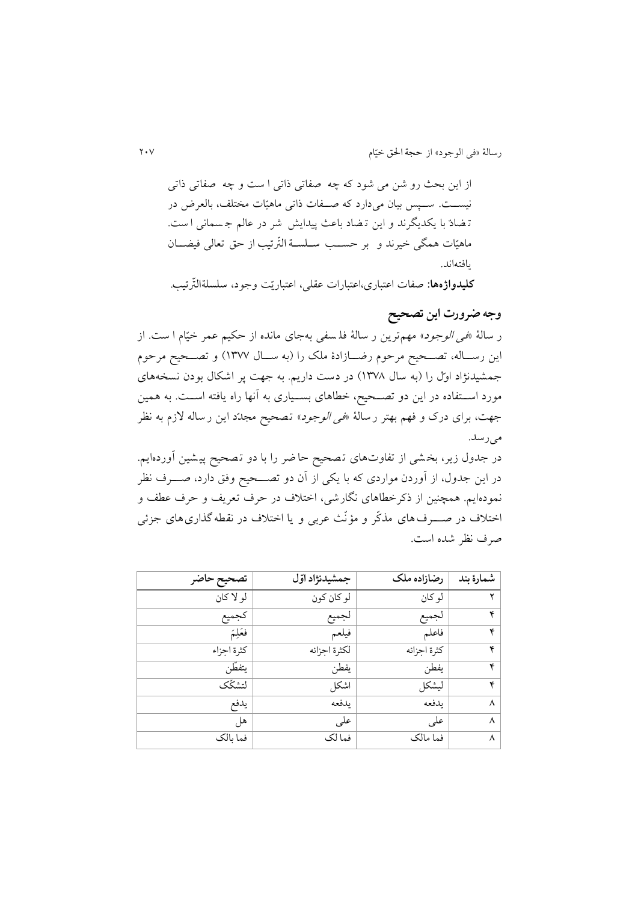از اين بحث رو شن می شود که چه صفاتی ذاتی ا ست و چه صفاتی ذات ی نیسـت. سـبس بیان می دارد که صـفات ذاتی ماهیّات مختلف، بالعرض در ت ضادّ با يکديیرند و اين ت ضاد باعث پیدايش شر در عالم ج سمانی ا ست. ماهیّات همیی خیرند و بر حسییب سلللسللة الّتر تیب از حق تعالی فیضییان يافتهاند.

**کلیدواژهها:** صفات اعتباری،اعتبارات عقلی، اعتباريّت وجود، سلسلةالّتر تیب.

### **وجه ضرورت این تصحیح**

ر سالۀ «ف*ی الوجود*» مهمترين ر سالۀ فلـ سفی بهجای مانده از حکیم عمر خیّام ا ست. از اين رسییاله، تصییحید مرحوم ردییازادۀ ملک را )به سییال 0122( و تصییحید مرحوم جمشیدنژاد اوّل را (به سال ۱۳۷۸) در دست داريم. به جهت پر اشکال بودن نسخههای مورد اســتفاده در اين دو تصــحيح، خطاهای بســياری به آنها راه يافته اســت. به همين جهت، برای درک و فهم بهتر رسالۀ «*فی الوجود*» تصحیح مجدّد این رساله لازم به نظر میرسد.

در جدول زير، بخشی از تفاوتهای تصحیح حاضر را با دو تصحیح پیشین آوردهایم. در اين جدول، از آوردن مواردی که با يکی از آن دو تصـــحيح وفق دارد، صــــرف نظر نمودهايم. همچنین از ذکرخطاهای نیارشی، اختالف در حرف تعريف و حرف عطف و اختالف در صیییرفهای مذکّر و مؤنّث عربی و يا اختالف در نقطه گذاری های جزئی صرف نظر شده است.

| تصحيح حاضر | جمشيدنژاد اول | رضازاده ملک | شمارة بند |
|------------|---------------|-------------|-----------|
| لو لا كان  | لو كان كون    | لو کان      |           |
| كجميع      | لجميع         | لجميع       | ۴         |
| فعَلِمَ    | فيلعم         | فاعلم       | ۴         |
| كثرة اجزاء | لكثرة اجزائه  | كثرة اجزائه | ۴         |
| يتفطن      | يفطن          | يفطن        | ۴         |
| لتشكّك     | اشكل          | ليشكل       | ۴         |
| يدفع       | يدفعه         | يدفعه       | ٨         |
| هل         | على           | على         | ٨         |
| فما بالك   | فما لک        | فما مالک    | ٨         |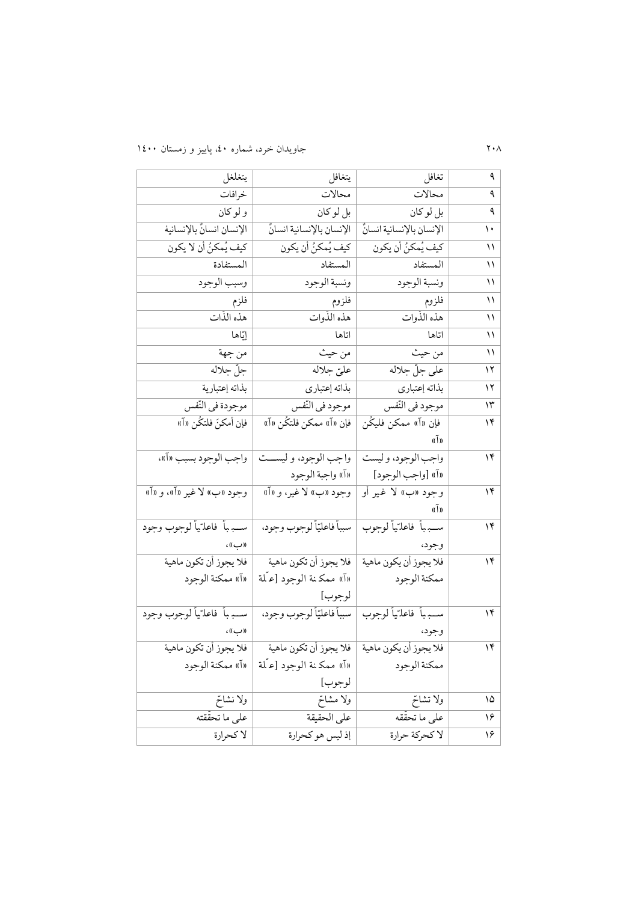| يتغلغل                                | يتغافل                                          | تغافل                       | ٩              |
|---------------------------------------|-------------------------------------------------|-----------------------------|----------------|
| خرافات                                | محالات                                          | محالات                      | ٩              |
| و لو کان                              | بل لو كان                                       | بل لو كان                   | ٩              |
| الإنسان انسانٌ بالإنسانية             | الإنسان بالإنسانية انسانٌ                       | الإنسان بالإنسانية انسانٌ   | $\mathcal{L}$  |
| كيف يُمكنُ أن لا يكون                 | كيف يُمكنُ أن يكون                              | كيف يُمكنُ أن يكون          | ۱۱             |
| المستفادة                             | المستفاد                                        | المستفاد                    | ۱۱             |
| وسبب الوجود                           | ونسبة الوجود                                    | ونسبة الوجود                | ۱۱             |
| فلزم                                  | فلزوم                                           | فلزوم                       | ۱۱             |
| هذه الذات                             | هذه الذوات                                      | هذه الذوات                  | ۱۱             |
| إيّاها                                | اتاها                                           | اتاها                       | ۱۱             |
| من جهة                                | من حيث                                          | من حيث                      | ۱۱             |
| جلّ جلاله                             | عليّ جلاله                                      | على جلّ جلاله               | ۱۲             |
| بذاته إعتبارية                        | بذاته إعتباري                                   | بذاته إعتباري               | ۱۲             |
| موجودة في النّفس                      | موجود في النّفس                                 | موجود في النّفس             | ۱۳             |
| فإن أمكنَ فلتكُن «آ»                  | فإن «آ» ممكن فلتكُن «آ»                         | فإن «آ» ممكن فليڭن          | $\mathcal{N}$  |
|                                       |                                                 | $\mathfrak{g}(\bar{1})$     |                |
|                                       | واجب الوجود، و ليســـت   واجب الوجود بسبب «آ»،  | واجب الوجود، وليست          | ۱۴             |
|                                       | «آ» واجبة الوجود                                | «اً» [واجب الوجود]          |                |
| وجود «ب» لا غير «آ»، و «آ»            | وجود «ب» لا غير، و «آ»                          | وجود «ب» لا غير أو          | ۱۴             |
|                                       |                                                 | $\mathfrak{a}(\bar{1})$     |                |
| ســــبـــهأ ۖ فاعلــّـيـاً لوجوب وجود | سبباً فاعليّاً لوجوب وجود،                      | ســـــبـاً فاعلــّياً لوجوب | $\overline{Y}$ |
| ((ب))،                                |                                                 | وجود،                       |                |
| فلا يجوز أن تكون ماهية                | فلا يجوز أن تكون ماهية                          | فلا يجوز أن يكون ماهية      | ۱۴             |
| «آ» ممكنة الوجود                      | «آ» ممكنة الوجود [عـُلة                         | ممكنة الوجود                |                |
|                                       | لوجوب]                                          |                             |                |
| ســـــبـأ فاعلـّـيأ لوجوب وجود        | سبباً فاعليّاً لوجوب وجود،                      | ســــبـاً فاعلـّـياً لوجوب  | 15             |
| ((ب) ) ،                              |                                                 | وجود،                       |                |
| فلا يجوز أن تكون ماهية                | فلا يجوز أن يكون ماهية   فلا يجوز أن تكون ماهية |                             | $\mathcal{N}$  |
| «آ» ممكنة الوجود                      | «آ» ممكنة الوجود [علمة                          | ممكنة الوجود                |                |
|                                       | لوجوب]                                          |                             |                |
| ولا نشاتح                             | ولا مشاحّ                                       | ولا تشاحّ                   | ۱۵             |
| على ما تحقّقته                        | على الحقيقة                                     | على ما تحققه                | ۱۶             |
| لا كحرارة                             | إذ ليس هو كحرارة                                | لا كحركة حرارة              | ۱۶             |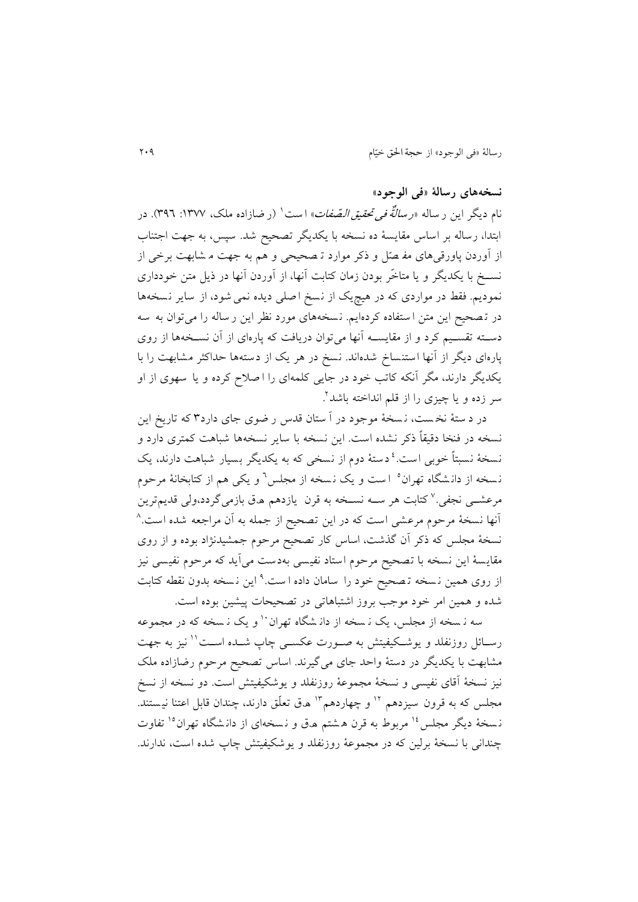### **نسخههای رسالۀ »فی الوجود«**

نام دیگر این ر ساله *«رسالنٌّه فی تحقیق الـصّفات*» است<sup>۱</sup> (ر ضازاده ملک، ۱۳۷۷: ۳۹٦). در ابتدا، رساله بر اساس مقايسۀ ده نسخه با يکديیر تصحید شد. س ، به جهت اجتناب از وردن پاورقیهای مف صّل و ذکر موارد ت صحیحی و هم به جهت م شابهت برخی از نســخ با يکديگر و يا متاخّر بودن زمان کتابت أنها، از أوردن أنها در ذيل متن خودداری نموديم. فقط در مواردی که در هیچيک از نسخ اصلی ديده نمی شود، از ساير نسخهها در تصحیح اين متن ا ستفاده کردهايم. نسخههای مورد نظر اين ر ساله را می توان به سه دسته تقسیم کرد و از مقایســه آنها میتوان دریافت که پارهای از آن نسـخهها از روی پارهای ديگر از آنها استنساخ شدهاند. نسخ در هر يک از دستهها حداکثر مشابهت را با يکديیر دارند، میر نکه کاتب خود در جايی کلمهای را ا صالح کرده و يا سهوی از او سر زده و یا چیزی را از قلم انداخته باشد<sup>۲</sup> .

در د ستۀ نخ ست ، ن سخۀ موجود در ستان قدس ر دوی جای دارد 1 که تاريخ اين نسخه در فنخا دقیقا ذکر نشده است. اين نسخه با ساير نسخه ها شباهت کمتری دارد و نسخهٔ نسبتاً خوبی است.<sup>۱</sup> دستهٔ دوم از نسخی که به یکدیگر بسیار شباهت دارند، یک نسخه از دانشگاه تهران<sup>ه</sup> است و یک نسخه از مجلس<sup>٦</sup> و یکی هم از کتابخانۀ مرحوم مرعشــی نجفی.<sup>۷</sup> کتابت هر ســه نســخه به قرن یازدهم هـق بازمیگردد،ولی قدیم¤رین <sup>1</sup> نها نسخۀ مرحوم مرعشی است که در اين تصحید از جمله به ن مراجعه شده است . نسخۀ مجلس که ذکر آن گذشت، اساس کار تصحیح مرحوم جمشیدنژاد بوده و از روی مقايسهٔ اين نسخه با تصحیح مرحوم استاد نفيسی بهدست می اَيد که مرحوم نفيسی نيز از روی همین نسخه تـصحیح خود را سامان داده است.<sup>۹</sup> این نـسخه بدون نقطه کتابت شده و همین امر خود موجب بروز اشتباهاتی در تصحیحات پیشین بوده است.

سه ن سخه از مجلس، يک ن سخه از دان شگاه تهران `` و يک ن سخه که در مجموعه رسائل روزنفلد و يوشكيفيتش به صـورت عكســي چاپ شــده اســت'' نيز به جهت مشابهت با يکديگر در دستۀ واحد جای میگیرند. اساس تصحیح مرحوم رضازاده ملک نیز نسخۀ قای نفیسی و نسخۀ مجموعۀ روزنفلد و يوشکیفیتش است. دو نسخه از نسخ مجلس که به قرون سیزدهم <sup>۱۲</sup> و چهاردهم<sup>۱۳</sup> ه.ق تعلّق دارند، چندان قابل اعتنا نیستند. نسخهٔ دیگر مجلس <sup>۱۶</sup> مربوط به قرن هشتم ه.ق و نسخهای از دانشگاه تهران<sup>۱۰</sup> تفاوت چندانی با نسخۀ برلین که در مجموعۀ روزنفلد و يوشکیفیتش چاا شده است، ندارند.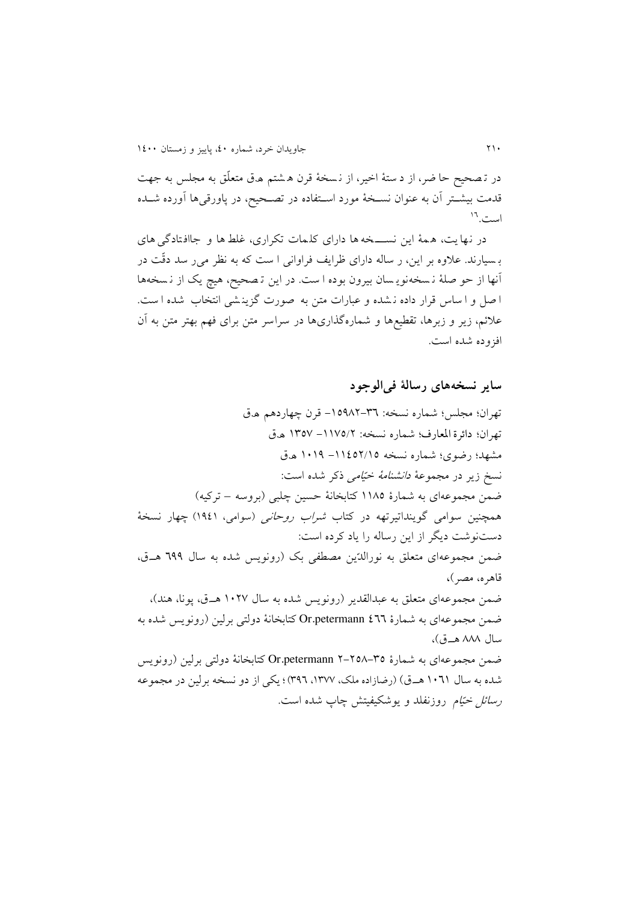در تـصحیح حا ضر، از د ستۀ اخیر، از نـسخۀ قرن هـشتم هـق متعلّق به مجلس به جهت قدمت بیشــتر اَن به عنوان نســخۀ مورد اســتفاده در تصــحیح، در پاورقی۵ا اَورده شــده ست.<sup>11</sup>

در نها يت، ه مۀ اين نسیییخه ها دارای کل مات تکراری، غلط ها و جااف تادگی های ب سیارند. عالوه بر اين، ر ساله دارای ظرايف فراوانی ا ست که به نظر می ر سد دقّت در نها از حو صلۀ ن سخه نوي سان بیرون بوده ا ست. در اين ت صحید، هیچ يک از ن سخه ها ا صل و ا ساس قرار داده ن شده و عبارات متن به صورت گزينشي انتخاب شده ا ست. عالئم، زير و زبرها، تقطیعها و شماره گذاریها در سراسر متن برای فهم بهتر متن به ن افزوده شده است.

**سایر نسخههای رسالۀ فیالوجود**

تهران؛ مجلس؛ شماره نسخه: ٣٦-١٥٩٨٢- قرن چهاردهم ه.ق تهران؛ دائرة المعارف؛ شماره نسخه: ١١٧٥/٢ - ١٣٥٧ ه.ق مشهد؛ رضوی؛ شماره نسخه ١١٤٥٢/١٥ – ١٠١٩ ه.ق نسخ زير در مجموعۀ دانشنامۀ خیّامی ذکر شده است: ضمن مجموعهای به شمارۀ ١١٨٥ کتابخانۀ حسین چلبی (بروسه – ترکیه) همچنین سوامی گوینداتیرتهه در کتاب *شراب روحانی* (سوامی، ۱۹٤۱) چهار نسخهٔ دستنوشت ديیر از اين رساله را ياد کرده است: ضمن مجموعهای متعلق به نورالدّين مصطفى بک (رونويس شده به سال 194 هـق، قاهره، مصر(**،** ضمن مجموعهای متعلق به عبدالقدیر (رونویس شده به سال ۱۰۲۷ هــق، پونا، هند)، ضمن مجموعهای به شمارۀ 211 Or.petermann کتابخانۀ دولتی برلین (رونویس شده به سال ۸۸۸ هـ.ق)، ضمن مجموعهای به شمارۀ 70^-12×0r.petermann ۲-۲ کتابخانۀ دولتی برلین (رونویس شده به سال 0020 هی.ق( )ردازاده ملک، ،0122 122(؛ يکی از دو نسخه برلین در مجموعه ر*سائل خیّام* روزنفلد و يوشکیفیتش چاپ شده است.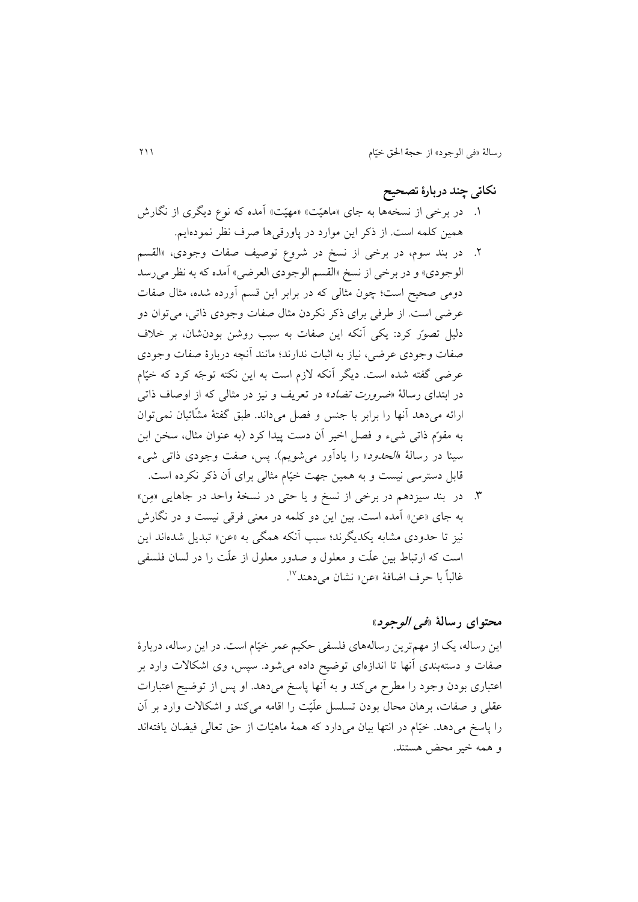### **نکاتی چند دربارۀ تصحیح**

- ۱. در برخی از نسخهها به جای «ماهیّت» «مهیّت» آمده که نوع دیگری از نگارش همین کلمه است. از ذکر اين موارد در پاورقیها صرف نظر نمودهايم.
- .4 در بند سوم، در برخی از نسخ در شروع توصیف صفات وجودی، »القسم الوجودي» و در برخی از نسخ «القسم الوجودي العرضي» آمده که به نظر می رسد دومی صحیح است؛ چون مثالی که در برابر این قسم آورده شده، مثال صفات عرضی است. از طرفی برای ذکر نکردن مثال صفات وجودی ذاتی، می توان دو دلیل تصوّر کرد: يکی نکه اين صفات به سبب روشن بودنشان، بر خالف صفات وجودی عردی، نیاز به اثبات ندارند؛ مانند نچه دربارۀ صفات وجودی عرضی گفته شده است. ديگر آنکه لازم است به اين نکته توجّه کرد که خیّام در ابتدای رسالۀ *«ضرورت تضاد*» در تعریف و نیز در مثالی که از اوصاف ذاتی ارائه میدهد أنها را برابر با جنس و فصل میداند. طبق گفتۀ مشّائیان نمی توان به مقوّم ذاتی شیء و فصل اخیر آن دست پیدا کرد (به عنوان مثال، سخن ابن سینا در رسالۀ «ا*لحدود*» را یادآور می شویم). پس، صفت وجودی ذاتی شیء قابل دسترسی نیست و به همین جهت خیّام مثالی برای ن ذکر نکرده است.
- .1 در بند سیزدهم در برخی از نسخ و يا حتی در نسخۀ واحد در جاهايی »مِن« به جای «عن» آمده است. بین این دو کلمه در معنی فرقی نیست و در نگارش نیز تا حدودی مشابه يکديیرند؛ سبب نکه همیی به »عن« تبديل شدهاند اين است که ارتباط بین علّت و معلول و صدور معلول از علّت را در لسان فلسفی غالباً با حرف اضافۀ «عن» نشان میدهند<sup>۱۷</sup> .

### **محتوای رسالۀ »فی الوجود«**

اين رساله، يک از مهمترين رسالههای فلسفی حکیم عمر خیّام است. در اين رساله، دربارۀ صفات و دستهبندی آنها تا اندازهای توضیح داده میشود. سپس، وی اشکالات وارد بر اعتباری بودن وجود را مطرح میکند و به آنها پاسخ میدهد. او پس از توضیح اعتبارات عقلی و صفات، برهان محال بودن تسلسل علّیّت را اقامه میکند و اشکاالت وارد بر ن را پاسخ میدهد. خیّام در انتها بیان میدارد که همۀ ماهیّات از حق تعالی فیضان يافتهاند و همه خیر محض هستند.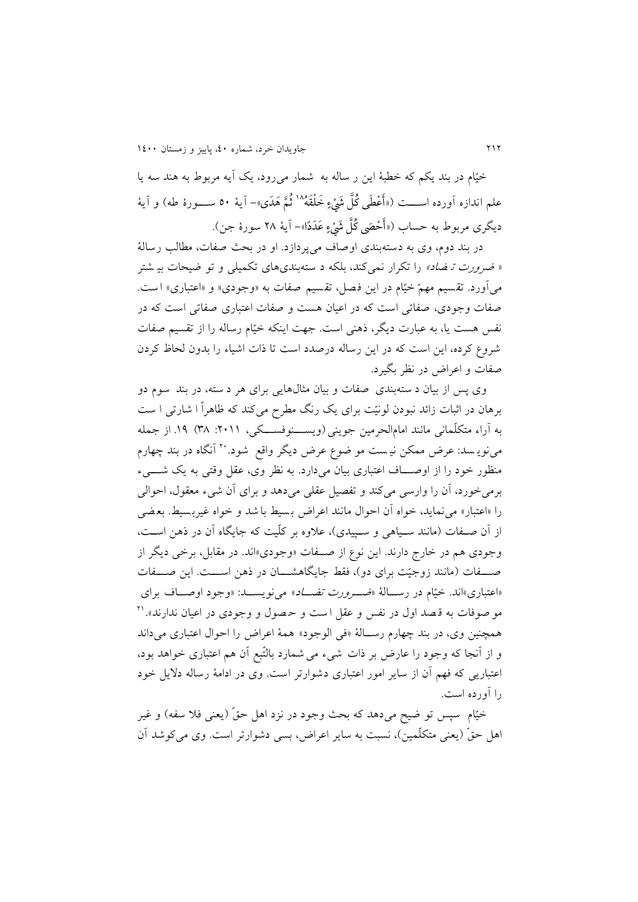خیّام در بند يکم که خطبۀ اين ر ساله به شمار می رود، يک آيه مربوط به هند سه يا علم اندازه اَورده اســــت («أَعْطَى كُلَّ شَيْءٍ خَلْقَهُ<sup>\\</sup> ثُمَّ هَدَى»– آيهٔ ٥٠ ســـورۀ طه) و آيهٔ ديگرى مربوط به حساب («أَحْصَى كُلَّ شَيْءٍ عَدَدًا»– آيهٔ ۲۸ سورۀ جن).

در بند دوم، وی به دسته بندی اوصاف می پردازد. او در بحث ص فات، مطالب رسالۀ « ضر*ورت تـ ضاد»* را تکرار نمیکند، بلکه د ستهبندیهای تکمیلی و تو ضیحات بی شتر می آورد. تقسیم مهمّ خیّام در این فصل، تقسیم صفات به «وجودی» و «اعتباری» است. صفات وجودی، صفاتی است که در اعیان هست و صفات اعتباری صفاتی است که در نفس هست يا، به عبارت ديگر، ذهنی است. جهت اينکه خيّام رساله را از تقسيم صفات شروع کرده، اين است که در اين رساله درصدد است تا ذات اشیاء را بدون لحاظ کردن صفات و اعراض در نظر بییرد.

وی پس از بیان د ستهبندی صفات و بیان مثالهایی برای هر د سته، در بند سوم دو برهان در اثبات زائد نبودن لونیّت برای يک رنگ مطرح میکند که ظاهرا ا شارتی ا ست به راء متکلّمانی مانند امامالحرمین جوينی)ويسییینوفسیییکی، :4000 11( .02 از جمله مینویسد: عرض ممکن نیست مو ضوع عرض دیگر واقع ً شود. بنت انگاه در بند چهارم منظور خود را از اوصیییاف اعتباری بیان می دارد. به نظر وی، عقل وقتی به يک شییییء برمی خورد، أن را وارسی میکند و تفصیل عقلی می دهد و برای أن شیء معقول، احوالی را «اعتبار» می نماید، خواه آن احوال مانند اعراض بسیط با شد و خواه غیربسیط. بعضی از آن صـفات (مانند سـياهی و سـييدی)، علاوه بر کلّيت که جايگاه آن در ذهن اسـت، وجودی هم در خارج دارند. اين نوع از صییفات »وجودی«اند. در مقابل، برخی ديیر از صیییفات )مانند زوجیّت برای دو(، فقط جايیاهشیییان در ذهن اسیییت. اين صیییفات «اعتباری»اند. خیّام در رسالۀ «صورورت تصاد» می نویسید: «وجود اوصیاف برای مو صوفات به قصد اول در نفس و عقل ا ست و حصول و وجودی در اعیان ندارند».'۲ همچنین وی، در بند چهارم رسییالۀ »فی الوجود« همۀ اعراض را احوال اعتباری میداند و از آنجا که وجود را عارض بر ذات شیء می شمارد بالتّبع آن هم اعتباری خواهد بود، اعتباريی که فهم آن از ساير امور اعتباری دشوارتر است. وی در ادامۀ رساله دلايل خود را ورده است.

خیّام سپس تو ضیح میدهد که بحث وجود در نزد اهل حقّ (یعنی فلا سفه) و غیر اهل حقّ (يعنی متکلّمین)، نسبت به ساير اعراض، بسی دشوارتر است. وی می کوشد آن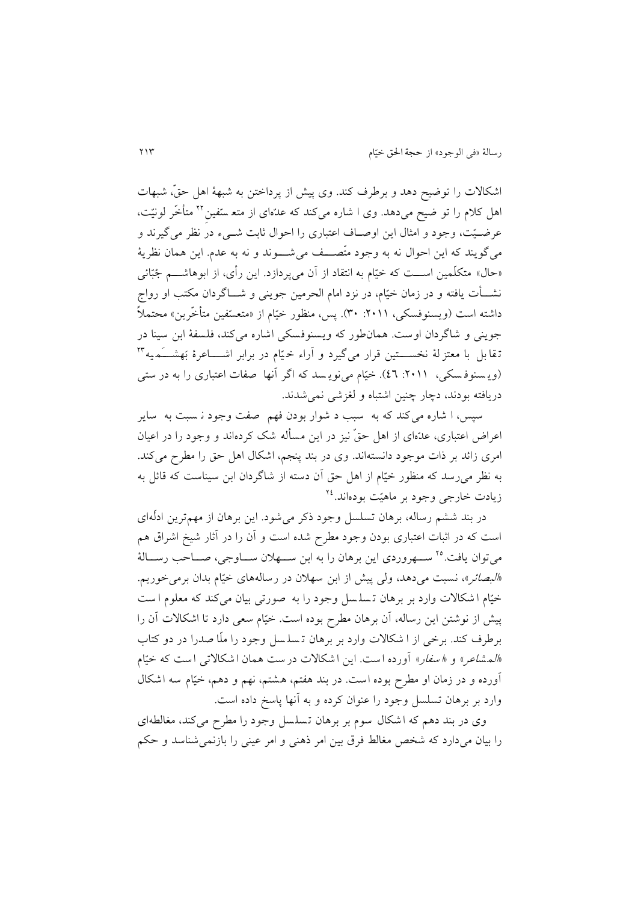اشکاالت را تودید دهد و برطرف کند. وی پیش از پرداختن به شبهۀ اهل حق،ّ شبهات اهل کلام را تو ضیح میدهد. وی ا شاره میکند که عدّهای از متع سّفین<sup>۲۲</sup> متأخّر لونیّت، عرضـیّت، وجود و امثال این اوصـاف اعتباری را احوال ثابت شــیء در نظر میگیرند و میگويند که اين احوال نه به وجود متّصیییف می شیییوند و نه به عدم. اين همان نظريۀ »حال« متکلّمین اسییت که خیّام به انتقاد از ن میپردازد. اين رأی، از ابوهاشییم جُبّائی نشییأت يافته و در زمان خیّام، در نزد امام الحرمین جوينی و شییاگردان مکتب او رواج داشته است (ويسنوفسکي، ٢٠١١. ٣٠). پس، منظور خيّام از «متعسّفين متأخّرين» محتملاً جوينی و شاگردان اوست. همان طور که ويسنوفسکی اشاره می کند، فلسفۀ ابن سینا در تقا بل با معتز لۀ نخســــتین قرار میگیرد و آراء خـیّام در برابر اشـــــاعرۀ بَهشــــَـميه\*'' )وي سنوف سکی،:4000 22(. خیّام مینوي سد که اگر نها صفات اعتباری را به در ستی دريافته بودند، دچار چنین اشتباه و لغزشی نمیشدند.

س ، ا شاره می کند که به سبب د شوار بودن فهم صفت وجود ن سبت به ساير اعراض اعتباری، عدّهای از اهل حقّ نیز در این مسأله شک کردهاند و وجود را در اعیان امری زائد بر ذات موجود دانسته اند. وی در بند پنجم، اشکال اهل حق را مطرح میکند. به نظر می رسد که منظور خیّام از اهل حق آن دسته از شاگردان ابن سیناست که قائل به زیادت خارج*ی وجود بر ماهیّت بودهاند.<sup>۲٤</sup>* 

در بند ششم رساله، برهان تسلسل وجود ذکر می شود. اين برهان از مهم ترين ادلّهای است که در اثبات اعتباری بودن وجود مطرح شده است و آن را در آثار شیخ اشراق هم میتوان يافت.<sup>16</sup> ســـهروردی اين برهان را به ابن ســـهلان ســـاوجی، صـــاحب رســـالۀ «*البصائر*»، نسبت می<mark>دهد، ولی پیش از ابن سهلان در رسالههای خیّام بدان برمی</mark>خوریم. خیّام ا شکالات وارد بر برهان تسلسل وجود را به صورتی بیان می کند که معلوم است پیش از نوشتن اين رساله، آن برهان مطرح بوده است. خیّام سعی دارد تا اشکالات آن را برطرف کند. برخی از ا شکاالت وارد بر برهان ت سل سل وجود را ملّا صدرا در دو کتاب «*المشاعر» و «سفار»* آورده است. این اشکالات درست همان اشکالاتی است که خیّام ورده و در زمان او مطرح بوده است. در بند هفتم، هشتم، نهم و دهم، خیّام سه اشکال وارد بر برهان تسلسل وجود را عنوان کرده و به نها پاسخ داده است.

وی در بند دهم که اشکال سوم بر برهان تسلسل وجود را مطرح می کند، مغالطهای را بیان میدارد که شخص مغالط فرق بین امر ذهنی و امر عینی را بازنمی شناسد و حکم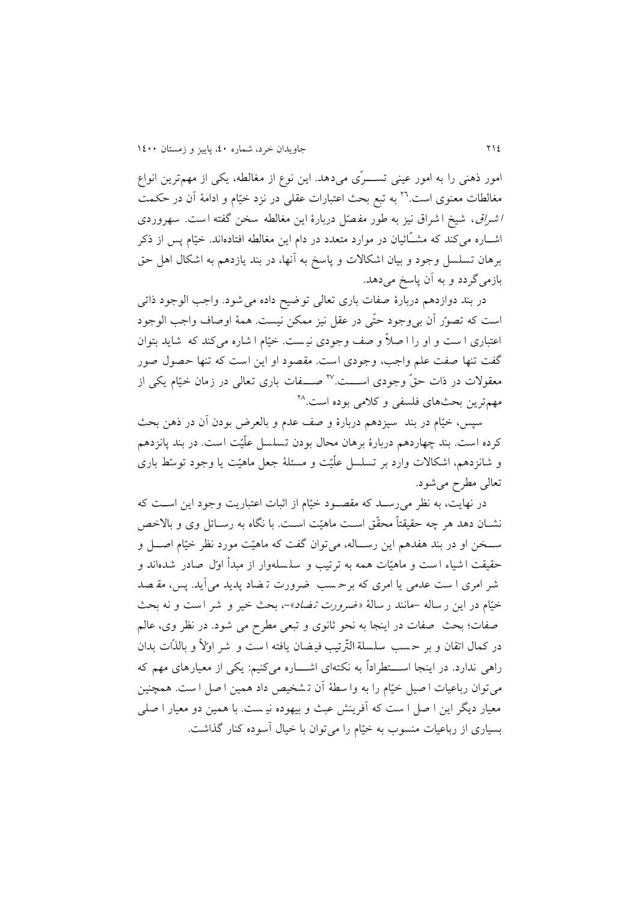امور ذهنی را به امور عینی تســـرّی میدهد. اين نوع از مغالطه، يکی از مهمترين انواع مغالطات معنوی است.<sup>۲۲</sup> به تبع بحث اعتبارات عقلی در نزد خیّام و ادامۀ آن در حکمت <sup>ا</sup> شراق ، شیخ ا شراق نیز به طور مف صّل دربارۀ اين مغالطه سخن گفته ا ست. سهروردی اشــاره می کند که مشــّائیان در موارد متعدد در دام اين مغالطه افتادهاند. خیّام پس از ذکر برهان تسلسل وجود و بیان اشکاالت و پاسخ به نها، در بند يازدهم به اشکال اهل حق بازمیگردد و به آن پاسخ میدهد.

در بند دوازدهم دربارۀ صفات باری تعالی تودید داده می شود. واجب الوجود ذاتی است که تصور آن بی وجود حتّی در عقل نیز ممکن نیست. همۀ اوصاف واجب الوجود اعتباری ا ست و او را ا صال و صف وجودی نی ست. خیّام ا شاره می کند که شايد بتوان گفت تنها صفت علم واجب ، وجودی است. مقصود او اين است که تنها حصول صور معقولات در ذات حقّ وجودی اســـت.<sup>۲۷</sup> صـــفات باری تعالی در زمان خیّام یکی از مهم ترين بحثهای فلسفی و کلامی بوده است.<sup>۲۸</sup>

سپس، خیّام در بند ًسیزدهم دربارۀ و صف عدم و بالعرض بودن اَن در ذهن بحث کرده است. بند چهاردهم دربارۀ برهان محال بودن تسلسل علّیّت است. در بند پانزدهم و شانزدهم، اشکاالت وارد بر تسلسل علّیّت و مسئلۀ جعل ماهیّت يا وج ود توسّط بار ی تعالی مطرح میشود.

در نهايت، به نظر میرسید که مقصیود خیّام از اثبات اعتباريت وجود اين اسیت که نشــان دهد هر چه حقیقتاً محقّق اســت ماهیّت اســت. با نگاه به رســائل وی و بالاخص سییخن او در بند هفدهم اين رسییاله، میتوان گفت که ماهیّت مورد نظر خیّام اصییل و حقیقت ا شیاء ا ست و ماهیّات همه به ترتیب و سل سله وار از مبدأ اوّل صادر شده اند و شر امری ا ست عدمی يا امری که برحسب ضرورت تـضاد پديد می آيد. پس، مقـصد خیّام در این ر ساله -مانند ر سالۀ *«ضرورت تضاد»-، بحث خی*ر و شر است و نه بحث صفات؛ بحث صفات در اينجا به نحو ثانوی و تبعی مطرح می شود. در نظر وی، عالم در کمال اتقان و بر حسب سلسلة التّرتیب فیضان یافته است و شر اوّلاً و بالذّات بدان راهی ندارد. در اينجا اســــتطراداً به نکتهای اشــــاره میکنیم: يکی از معيارهای مهم که میتوان رباعیات ا صیل خیّام را به وا سطۀ ن ت شخیص داد همین ا صل ا ست. همچنین معیار ديگر اين ا صل ا ست که آفرينش عبث و بيهوده نيـست. با همين دو معيار ا صلي بسیاری از رباعیات منسوب به خیّام را میتوان با خیال سوده کنار گذاشت.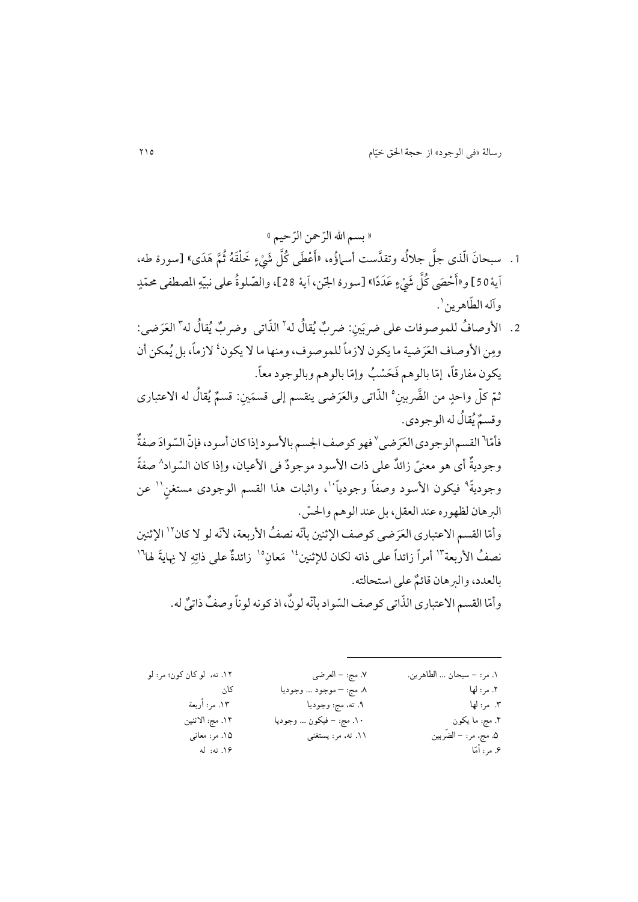« بسم الله الرّحمن الرّحيم »

- 1 . سبحانَ الّذى جلَّ جلالُه وتقدَّست أسماؤُه، «أَعْطَى كُلَّ شَيْءٍ خَلْقَهُ ثُمَّ هَدَى» [سورۀ طه، <sub>ا</sub>َيهٔ 50] و«أَحْصَى كُلَّ شَيْءٍ عَدَدًا» [سورۀ الجّن، اَيهٔ 28]، والصّلوةُ على نبيّهِ المصطفى محمّدٍ ْ وآله الطّاهرين'.
- 2. الأوصافُ للموصوفات على ضربَينِ: ضربٌ يُقالُ له' الذّاتى ۖ وضربٌ يُقالُ له'' العَرَضى: ومِن الأوصاف العَرَضية ما يكون لازماً للموصوف، ومنها ما لا يكون<sup>،</sup> لازماً، بل يُمكن أن يكون مفارقاً، إمّا بالوهم فَحَسْبُ وإمّا بالوهم وبالوجود معاً. ر<br>م سا<br>تم ثمّ كلّ واحدٍ من الضَّربينِ° الذّاتی والعَرَضی ينقسم إلی قسمَينِ: قسمٌ يُقالُ له الاعتباری وقسٌمُیقاُل له الوجودی. فأمّا ْ القسم الوجودي العَرَضي ْ فهو كوصف الجسم بالأسود إذا كان أسود، فإنّ السّوادَ صفةٌ ر وجوديةٌ أى هو معنىً زائلٌ على ذات الأسود موجودٌ في الأعيان، وإذا كان السّواد^ صفةً وجوديةً ° فيكون الأسود وصفاً وجودياً ``، واثبات هذا القسم الوجودي مستغن'` عن البر هان لظهوره عند العقل، بل عند الوهم والحسّ. وأمّا القسم الاعتباري العَرَضي كوصف الإثنين بأنّه نصفُ الأربعة، لأنّه لو لا كان أ` الإثنين ر نصفُ الأربعة<sup>"ا</sup> أمراً زائداً على ذاته لكان للإثنين<sup>،</sup>' مَعانٍ°' زائدةٌ على ذاتِهِ لا نِهايةَ لها<sup>١٦</sup> بالعدد، والبرهان قائمٌ على استحالته.

وأمّا القسم الاعتباري الذّاتي كوصف السّواد بأنّه لونٌ، اذ كونه لوناً وصفٌ ذاتيٌ له. ر

 $\overline{a}$ 

| ۱۲. ته،  لو کان کون؛ مر: لو | ٧. مج: - العرضي          | ١. مر: - سبحان  الطاهرين. |
|-----------------------------|--------------------------|---------------------------|
| کان                         | ٨. مج: – موجود … وجوديا  | ۲. مر: لها                |
| ١٣. مر: أربعة               | ۹. ته، مج: وجوديا        | ۳. مر: لها                |
| ١۴. مج: الاثنين             | ۱۰. مج: – فیکون … وجودیا | ۴. مج: ما يكون            |
| ۱۵. مر: معانبي              | ۱۱. ته، مر: يستغنى       | ۵. مج، مر: – الضَّربين    |
| ۱۶. ته: له                  |                          | ۶. مر: أمّا               |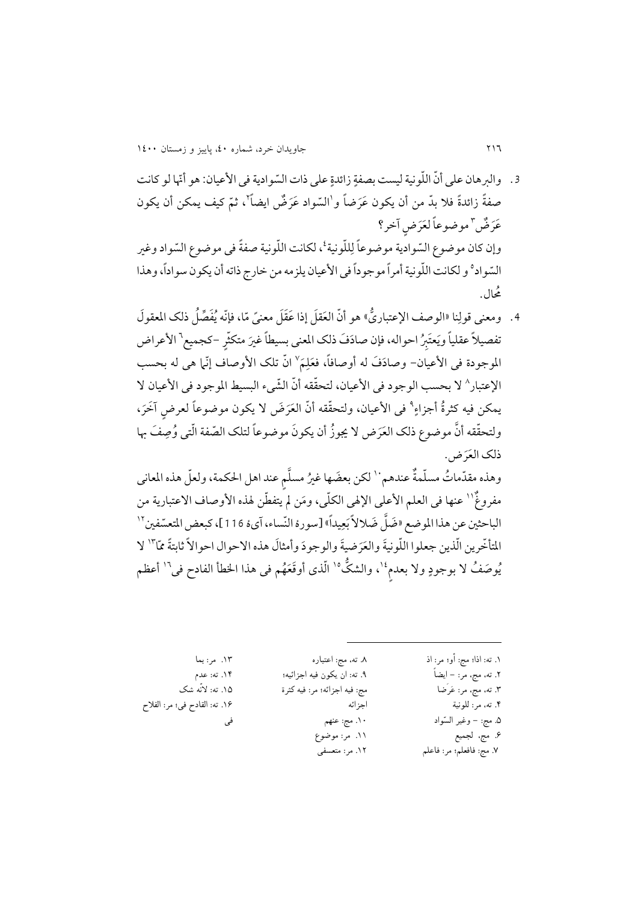- 3 . والبرهان على أنّ اللّونية ليست بصفةٍ زائدةٍ على ذات السّوادية في الأعيان: هو أنّها لو كانت صفةً زائدةً فلا بدّ من أن يكون عَرَضاً و<sup>ا</sup>السّواد عَرَضٌ ايضاً ْ، ثمّ كيف يمكن أن يكون عَرَضٌ "موضوعاً لعَرَضٍ آخر؟ وإن كان موضوع السّوادية موضوعاً لِللّونية<sup>،</sup>، لكانت اللّونية صفةً في موضوع السّواد وغير السّواد° و لكانت اللّونية أمراً موجوداً في الأعيان يلزمه من خارج ذاته أن يكون سواداً، وهذا ُحمال.
- 4. ومعنى قولِنا «الوصف الإعتباريُّ» هو أنّ العَقلَ إذا عَقَلَ معنىً مّا، فإنّه يُفَصِّلُ ذلك المعقولَ تفصيلاً عقلياً ويَعتَبِرُ احواله، فإن صادَفَ ذلك المعنى بسيطاً غيرَ متكثّرٍ -كجميع<sup>٦</sup> الأعراض الموجودة فی الأعيان– وصادَفَ له أوصافاً، فعَلِمَ` انّ تلک الأوصاف إنّما هیّ له بحسب الإعتبار^ لا بحسب الوجود في الأعيان، لتحقّقه أنّ الشّيء البسيط الموجود في الأعيان لا يمكن فيه كثرةُ أجزاءٍ ْ في الأعيان، ولتحقّقه أنّ العَرَضَ لا يكون موضوعاً لعرضٍ آخَرَ، ولتحقّقه أنَّ موضوع ذلک العَرَض لا يجوزُ أن يكونَ موضوعاً لتلک الصّفة الّتي وُصِفَ بها ذلک العَرَض. وهذه مقدّماتُ مسلّمةٌ عندهم`` لكن بعضَها غيرُ مسلَّم عند اهل الحكمة، ولعلّ هذه المعاني

مفروغٌٌ'' عنها في العلم الأعلى الإلهي الكلّي، ومَن لم يتفطّن لهذه الأوصاف الاعتبارية من الباحثين عن هذا الموضع «ضَلَّ ضَلالاً بَعِيداً» [سورهٔ النِّساء، آيهٔ 116]، كبعض المتعسّفين `` المتأخّرين الّذين جعلوا اللّونيةَ والعَرَضيةَ والوجودَ وأمثالَ هذه الاحوال احوالاً ثابتةً ممّاً" لا يُوصَفُ لا بوجودٍ ولا بعدم ُ'، والشكُّ' الّذى أوقَعَهُم في هذا الخطأ الفادح في<sup>٦</sup>' أعظم

- .1 ته: اذا؛ مج: أو؛ مر: اذ .2 ته، مج، مر: - ایضاً .3 ته، مج، مر: عَرَضا .4 ته، مر: للونیة .5 مج: - وغیر السّواد .6 مج، لجمیع .7 مج: فافعلم؛ مر: فاعلم
- .8 ته، مج: اعتباره .9 ته: ان یکون فیه اجزائیه؛ مج: فیه اجزائه؛ مر: فیه کثرة اجزائه .10 مج: عنهم .11 مر: موضوع .12 مر: متعسفی

.13 مر: بما .14 ته: عدم .15 ته: النّه شک .16 ته: القادح فی؛ مر: الفالح فی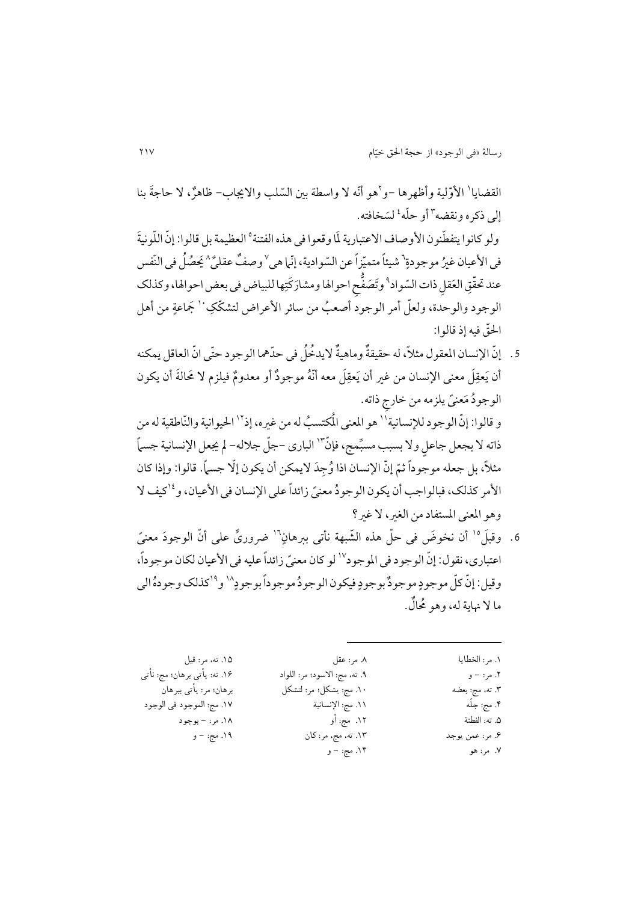القضايا' الأوّلية وأظهرها –و`هو أنّه لا واسطة بين السّلب والايجاب– ظاهرٌ، لا حاجةَ بنا إلى ذكره ونقضه ّ أو حلّه ٔ لسَخافته. ولو كانوا يتفطّنون الأوصاف الاعتبارية لَما وقعوا في هذه الفتنة° العظيمة بل قالوا: إنّ اللّونيةَ في الأعيان غيرُ موجودةٍ<sup>٦</sup> شيئاً متميّزاً عن السّوادية، إنّما هي<sup>٧</sup>وصفٌ عقليٌ<sup>٨</sup> يَحصُلُ في النّفس عند تحقّقِ العَقل ذات السّواد<sup>۹</sup> وتَصَفُّح احوالها ومشارَكَتِها للبياض في بعض احوالها، وكذلك الوجود والوحدة، ولعلّ أمر الوجودّ أصعبُ من سائر الأعراض لتشكّكِ <sup>١٠</sup> جَماعةٍ من أهل احلرق فیه إذ قالوا:

5. إنّ الإنسان المعقول مثلاً، له حقيقةٌ وماهيةٌ لايدخُلُ في حدّهما الوجود حتّى انّ العاقل يمكنه أن يَعقِلَ معنى الإنسان من غير أن يَعقِلَ معه أنّهُ موجودٌ أو معدومٌ فيلزم لا مَحالةَ أن يكون الوجودٌ مَعنىً يلزمه من خارج ذاته.

و قالوا: إنّ الوجود للإنسانية'' هو المعنى المُكتسبُ له من غيره، إذْ'' الحيوانية والنّاطقية له من ذاته لا بجعل جاعل ولا بسبب مسبِّمج، فإنَّ" الباري –جلَّ جلاله- لم يجعل الإنسانية جسماً مثلاً، بل جعله موجّوداً ثمّ إنّ الإنسان اذا وُجِدَ لايمكن أن يكون إلّا جسماً. قالوا: وإذا كان الأمر كذلك، فبالواجب أن يكون الوجودُ معنىً زائداً على الإنسان في الأعيان، و<sup>١٤</sup>كيف لا وهو المعنی المستفاد من الغیر، لا غیر؟

6. وقبلَ<sup>ه</sup>' أن نخوضَ في حلّ هذه الشّبهة نأتي ببرهانٍ<sup>١٦</sup> ضروريٍّ على أنّ الوجودَ معنيً اعتباري، نقول: إنّ الوجود في الموجود لا لو كان معنيّ زائداً عليه في الأعيان لكان موجوداً، وقيل: إنّ كلّ موجودٍ موجودٌ بوجودٍ فيكون الوجودُ موجوداً بوجودٍ `` و<sup>١٩</sup>كذلك وجودهُ ال<sub>ع</sub> ما ال ِنایة له، وهو ُحماٌل.

| ۱۵. ته، مر: قيل              | ۸. مر: عقل                    | ١. مر: الخطايا  |
|------------------------------|-------------------------------|-----------------|
| ۱۶. ته: يأتي برهان؛ مج: نأتي | ٩. ته، مج: الاسود؛ مر: اللواد | ٢. مر: – و      |
| برهان؛ مر: يأتي ببرهان       | ١٠. مج: يشكل؛ مر: لتشكل       | ٣. ته، مج: بعضه |
| ١٧. مج: الموجود في الوجود    | ١١. مج: الإنسانية             | ۴. مج: جلّه     |
| ١٨. مر: - بوجود              | ١٢. مج: أو                    | ۵. ته: الفطنة   |
| ۰۱۹ مج: – و                  | ١٣. ته، مج، مر: كان           | ۶. مر: عمن يوجد |
|                              | ۱۴. مج: – و                   | ۷. مر: هو       |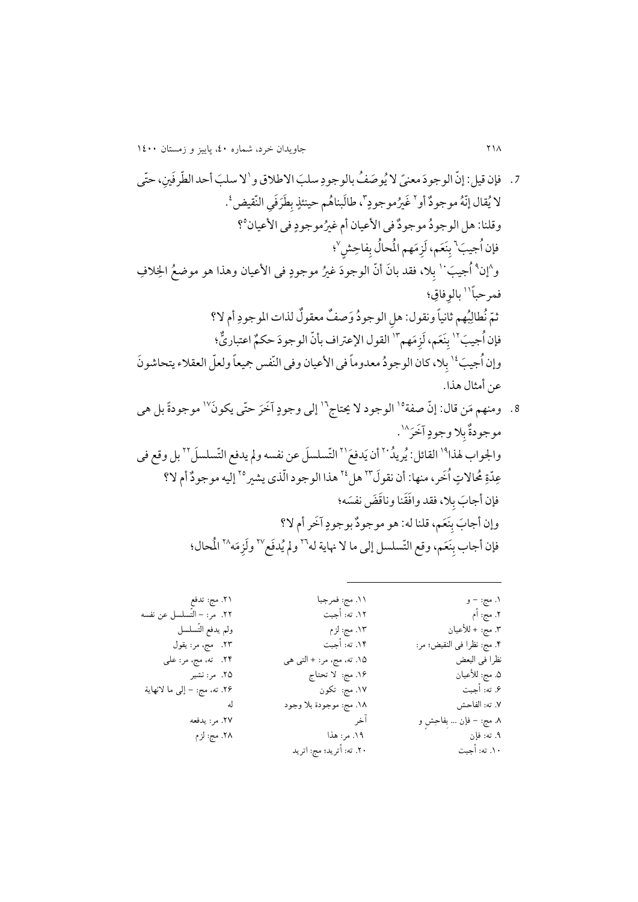ًی سل َباالطالقو .7 فإن قیل: إ رن الوجوَدمعن الُیو َص ُف بالوجود 0 نی،حرتی السل َبأحد ال رطرَف الُیقال إرنُهموجوٌدأو ٍ <sup>4</sup> ُریموجود 1 ض َغ َطَرَف ی النرقی ب ٍ ، طاَلبناُهم حینئذ 2 . فی األعیان ٍ ُریموجود وقلنا: هل الوجوُدموجوٌدفی األعیان أم غ 2 ؟ َب فإنُاجی ٍش <sup>2</sup> فاح َهم اُملحاُل ب م َعمَ،لز نَ ب 2 ؛ و 1 2 إن َب ُاجی الف <sup>00</sup> فی األعیان وهذا هو موضُع اخل ٍ ُری موجود ال، فقد با َن أ رن الوجوَد غ ب فمرحبًا ؛ <sup>00</sup> فاق بالو أم ال؟ ُبهم ثانیًا ونقول: ه ل الوجوُد َوص ٌف معقوٌل لذات املوجود رمُنطال ث َب فإنُاجی 04 َهم م َعمَ،لز نَ ب ی؛ اعتبا <sup>01</sup> ٌّ القول اإلعّتاف بأ رن الوجوَد حکٌم ر َب وإنُاجی ال،كان الوجوُدمعدومًا فی األعیان وفی النرفس َجیعًا ولعرل العقالءیتحاشو َن <sup>02</sup> ب عن أمثال هذا.

.2 ومنهم َمن قال: إ رن صفة آَخَر حرتی یکو َن <sup>02</sup> الوجود ال َیتاج <sup>02</sup> ٍ إلی وجود 02 موجودًة بل هی آَخَر ٍ ال وجود موجودٌة ب 01 . القائلُ:یریُد <sup>02</sup> واجلواب هلذا 40 َ دفَع أن ی الرتسلسَل عن نفسه وملیدفع الرتسلسَل <sup>40</sup> بل وقع فی <sup>44</sup> ُاَخر،منها: أن نقوَل ُحماالتٍ ردة ع 42 هل <sup>41</sup> هذا الوجودارلذی یشری إلیهموجوٌدأم ال؟ <sup>42</sup> َسه؛ ال، فقد واَفَقنا وناَقَضنف َب ب فإن أجا آَخرأم ال؟ ٍ َعم، قلنا له: هو موجوٌدبوجود نَ َب ب وإن أجا َعم، وقع الرتسلسل إلی ما ال ِنایة له نَ فإن أجاب ب 42 وملُیدَفع 42 َه م وَلز اُملحال؛ <sup>41</sup>

 $\overline{a}$ 

.1 مج: - و .2 مج: أم .3 مج: + لألعیان .4 مج: نظرا فی النقیض؛ مر: نظرا فی البعض .5 مج: لألعیان .6 ته: أجبت .7 ته: الفاحش .8 مج: - فإن ... بِفاحِشٍ و .9 ته: فإن .<br>١٠. ته: أجبت .11 مج: فمرجبا .12 ته: أجبت .13 مج: لزم .14 ته: أجبت .15 ته، مج، مر: + التی هی .16 مج: ال تحتاج .17 مج: تکون .18 مج: موجودة بال وجود آخر .19 مر: هذا .20 ته: أترید؛ مج: اترید .21 مج: تدفع .22 مر: - التّسلسل عن نفسه ولم یدفع التّسلسل .23 مج، مر: یقول .24 ته، مج، مر: علی .25 مر: نشیر .26 ته، مج: - إلی ما النهایة له .27 مر: یدفعه .28 مج: لزم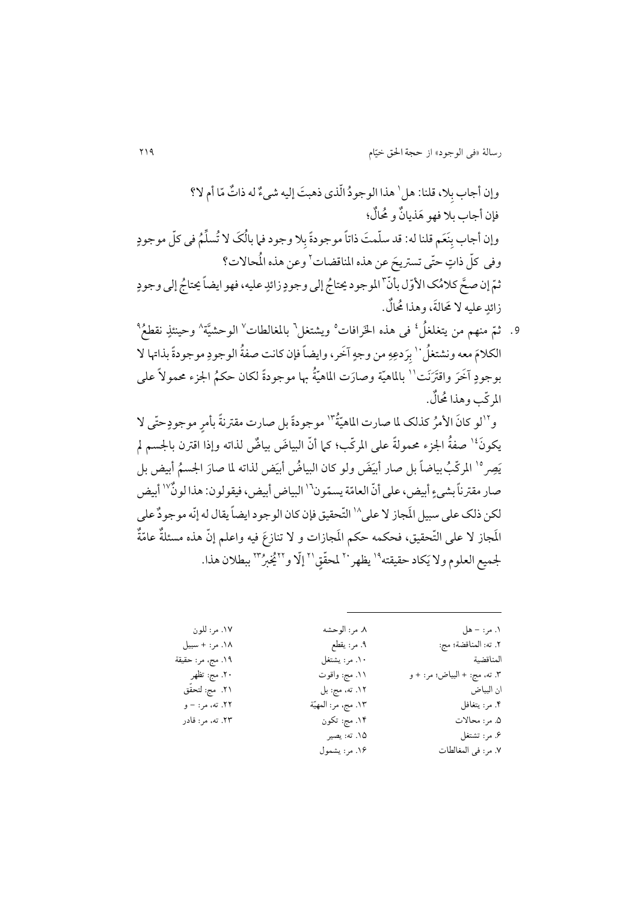وإن أجاب بِلا، قلنا: هل ' هذا الوجودُ الّذي ذهبتَ إليه شيءٌ له ذاتٌ مّا أم لا؟ س<br>م فإن أجاب بال فهو َهذیاٌن و ُحماٌل؛ وإن أجاب بِنَعَم قلنا له: قد سلّمتَ ذاتاً موجودةً بِلا وجود فما بالُكَ لا تُسلِّمُ في كلِّ موجودٍ وفي كلّ ذاتٍ حتّى تستريحَ عن هذه المناقضات ٌ وعن هذه المُحالات؟ ثمّ إن صحَّ كلامُك الأوّل بأنّ <sup>٣</sup>الموجود يحتاجُ إلى وجودٍ زائدٍ عليه، فهو ايضاً يحتاجُ إلى وجودٍ .<br>زائدِ عليه لا مَحالةَ، وهذا مُحالٌ.

9. ثمّ منهم من يتغلغلُ ٔ في هذه الخَرافات° ويشتغل<sup>٦</sup> بالمغالطات<sup>٧</sup> الوحشيَّة<sup>٨</sup> وحينئذٍ نقطعُ<sup>٩</sup> الكلامَ معه ونشتغلُ `` بِرَدعِهِ من وجهٍ آخَر، وايضاً فإن كانت صفةُ الوجودِ موجودةً بذاتها لا بوجودٍ آخَرَ واقتَرَنَت'' بالماهيّة وصارَت الماهيّةُ بها موجودةً لكان حكمُ الجزء محمولاً على بر املرركب وهذا ُحماٌل.

 و ُة <sup>04</sup> ر ُركذلک ملا صارت املاهی لو كا َن األم ٍ <sup>01</sup> موجود موجودًة بل صارت مقّتنًة بأمر حرتی ال ٍ یکو َن صفُة اجلزء حممولًة علی املرركب؛ كام أ رن البیا َض بیاٌض لذاته وإذا اقّتن باجلسم مل <sup>02</sup> ص َ ی 02 َ املررك ض لذاته ُب َ َض ولو كان البیاُض أبی َر اجلسُم بیاضًا بل صار أبی أب ملا صا یض بل رةیسرمون أبیض، علیأ رن العام صارمقّتنًا بشیء البیاضأبیض،فیقولون: هذا لوٌن <sup>02</sup> أبیض <sup>02</sup> لکن ذلک علی سبیل اَملجاز ال علی 01 الرتحقیق فإن كان الوجودایضًا یقال لهإرنهموجوٌد علی اَملجاز ال علی الرتحق ٌة ر یق، فحکمه حکم اَملجازات و ال تنازَع فیه واعلم إ رن هذه مسئلٌة عام جلمیع العلوم وال ی حقیقته َکاد ملحرق <sup>40</sup> یظهر <sup>02</sup> إرال و ٍق<sup>40</sup> 44 ُُی ُرب ببطالن هذا. <sup>41</sup>

| ۱۷. مر: للون      | ٨. مر: الوحشه       | ۱. مر: – هل                  |
|-------------------|---------------------|------------------------------|
| ١٨. مر: + سبيل    | ۹. مر: يقطع         | ٢. ته: المناقضة؛ مج:         |
| ١٩. مج، مر: حقيقة | ١٠. مر: يشتغل       | المناقضية                    |
| ۲۰. مج: تظهر      | ۰۱۱ مج: واقوت       | ٣. ته، مج: + البياض؛ مر: + و |
| ٢١. مج: لتحقق     | ١٢. ته، مج: بل      | ان البياض                    |
| ۲۲. ته، مر: – و   | ١٣. مج، مر: المهيّة | ۴. مر: يتغافل                |
| ۲۳. ته، مر: قادر  | ۱۴. مج: تکون        | ۵. مر: محالات                |
|                   | ١۵. ته: يصير        | ۶. مر: تشتغل                 |
|                   | ۱۶. مر: يشمول       | ٧. مر: في المغالطات          |

 $\overline{a}$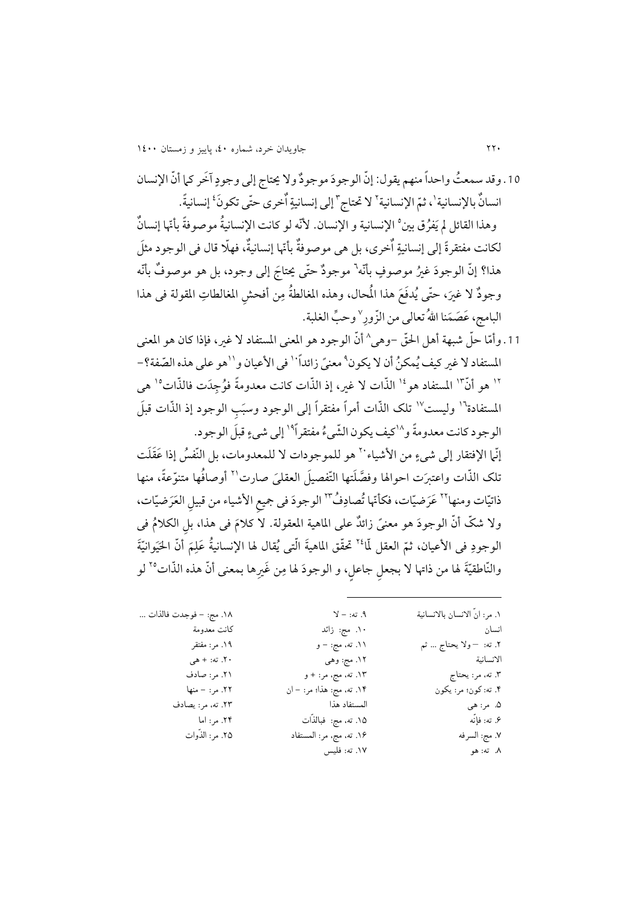10 . وقد سمعتُ واحداً منهم يقول: إنّ الوجودَ موجودٌ ولا يحتاج إلى وجودٍ آخَر كما أنّ الإنسان انسانٌ بالإنسانية'، ثمّ الإنسانية<sup>٢</sup> لا تحتاج ّ إلى إنسانيةٍ اٌخرى حتّى تكونَ<sup>،</sup> إنسانيةً. وهذا القائل لم يَفرُق بين° الإنسانية و الإنسان. لأنّه لو كانت الإنسانيةُ موصوفةً بأمّها إنسانٌ لکانت مفتقرةً إلى إنسانيةٍ اٌخرى، بل هي موصوفةٌ بأنّها إنسانيةٌ، فهلّا قال في الوجود مثلَ هذا؟ إنّ الوجودَ غيرُ موصوفٍ بأنّه<sup>٦</sup> موجودٌ حتّى يحتاجَ إلى وجود، بل هو موصوفٌ بأنّه وجودٌ لا غيرَ، حتّى يُدفَعَ هذا المُحال، وهذه المغالطةُ مِنّ أفحشِ المغالطاتِ المقولة في هذا البامج، عَصَمَنا اللهُ تعالى من الزّورِ<sup>\</sup> وحبِّ الغلبة.

11. وأمّا حلّ شبهة أهل الحقّ –وهي^ أنّ الوجود هو المعنى المستفاد لا غير، فإذا كان هو المعنى المستفاد لا غير كيف يُمكنُ أن لا يكون ْ معنىً زائداً `` في الأعيان و``هو على هذه الصّفة؟-١٢ هو أنّ "ا المستفاد هو<sup>١٤</sup> الذّات لا غير، إذ الذّات كانت معدومةً فوُجِدَت فالذّات<sup>١٥</sup> هي المستفادة<sup>١٦</sup> وليست<sup>١٧</sup> تلک الذّات أمراً مفتقراً إلى الوجود وسبَب الوجود إذ الذّات قبلَ الوجود كانت معدومةً و<sup>١٨</sup>كيف يكون الشَّيءُ مفتقراً<sup>١٩</sup> إلى شيءٍ قبلَ الوجود. <sub>إ</sub>نّما الإفتقار إلى شيءٍ من الأشياء<sup>.٢</sup> هو للموجودات لا للمعدومات، بل النّفسُ إذا عَقَلَت

تلک الذّات واعتبرَت احوالها وفصَّلَتها التّفصيلَ العقلمَ صارت<sup>٢١</sup> أوصافُها متنوّعةً، منها ذاتيّات ومنها<sup>٢٢</sup> عَرَضيّات، فكأنّها تُصادِفُ٣ الوجودَ في جميع الأشياء من قبيل العَرَضيّات، ولا شكّ أنّ الوجودَ هو معنىً زائلٌ على الماهية المعقولة. لا كلامَ فی هذا، بل الكلامُ فی الوجودِ في الأعيان، ثمّ العقل لّما<sup>٢٤</sup> تحقّق الماهيةَ الّتي يُقال لها الإنسانيةُ عَلِمَ أنّ الحَيَوانيّةَ والنّاطقيّةَ لها من ذاتها لا بجعل جاعل، و الوجودَ لها مِن غَيرِها بمعنى أنّ هذه الذّات°<sup>٬</sup> لو ر

| ١. مر: انَّ الانسان بالانسانية | $Y = 3$ . ته: – لا        | ١٨. مج: – فوجدت فالذات … |
|--------------------------------|---------------------------|--------------------------|
| نسان                           | ۰۱. مج: زائد              | كانت معدومة              |
| ٢. ته:  — ولا يحتاج … ثم       | ۱۱. ته، مج: – و           | ۱۹. مر: مفتقر            |
| لانسانية                       | ۱۲. مج: وهي               | ۲۰. ته: + هي             |
| ۲. ته، مر: يحتاج               | ۱۳. ته، مج، مر: + و       | ۲۱. مر: صادف             |
| ۴. ته: کون؛ مر: يکون           | ۱۴. ته، مج: هذا؛ مر: – ان | ٢٢. مر: – منها           |
| ۵. مر: هي                      | المستفاد هذا              | ٢٣. ته، مر: يصادف        |
| ۶. ته: فإنّه                   | ١۵. ته، مج: فبالذَّات     | ۲۴. مر: اما              |
| ٧. مج: السرفه                  | ۱۶. ته، مج، مر: المستفاد  | ٢۵. مر: الذَّوات         |
| ۸. ته: هو                      | ١٧. ته: فليس              |                          |
|                                |                           |                          |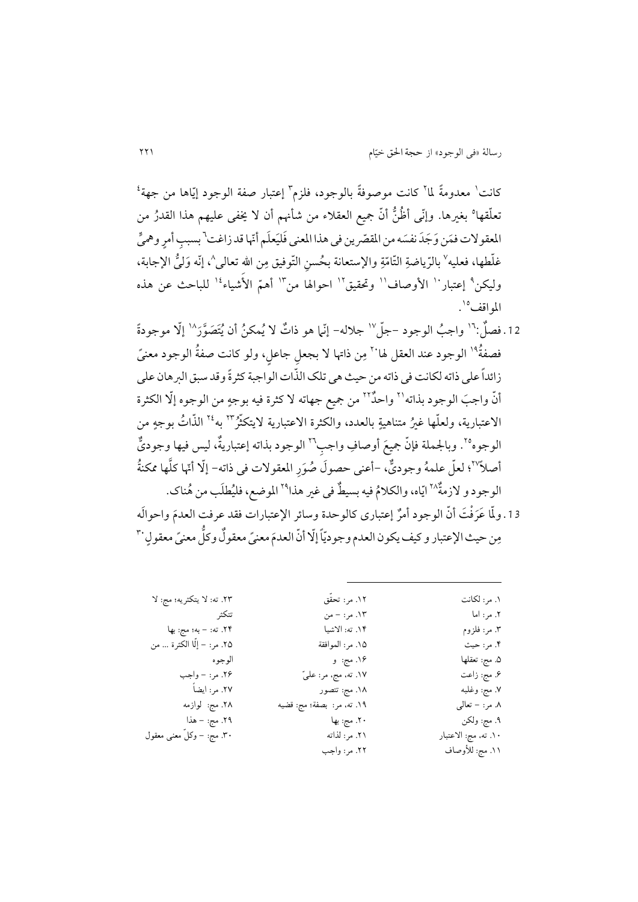كانت' معدومةً لما<sup>٢</sup> كانت موصوفةً بالوجود، فلزم" إعتبار صفة الوجود إيّاها من جهة<sup>؛</sup> تعلُّقها° بغيرها. وإنَّى أظُنُّ أنَّ جميع العقلاء من شأنهم أن لا يخفى عليهم هذا القدرُ من المعقولات فمَن وَجَدَ نفسَه من المقصّرين في هذا المعنى فَليَعلَم أنّها قد زاغت\ بسبب أمرٍ وهميٍّ غلّطها، فعليه<sup>\</sup> بالرّياضةِ التّامّةِ والإستعانة بـحُسنِ التّوفيق مِن الله تعالى^، إنّه وَليُّ الإجابة، وليكن<sup>٩</sup> إعتبار `` الأوصاف'` وتحقيق'` احوالها من''` أهمّ الأشياء<sup>،</sup>'` للباحث عن هذه المو اقف°`.

12. فصلٌ:"' واجبُ الوجود –جلّ<sup>\</sup>' جلاله– إنّما هو ذاتٌ لا يُمكنُ أن يُتَصَوَّرَ<sup>\</sup>' إلّا موجودةً فصفةٌ<sup>١٩</sup> الوجود عند العقل لها<sup>٢٠</sup> مِن ذاتها لا بجعل جاعل، ولو كانت صفةُ الوجود معنىً زائداً علی ذاته لکانت فی ذاته من حیث هی تلک الذّات الواجبة كثرةً وقد سبق البرهان علی أنّ واجبَ الوجود بذاته<sup>٢١</sup> واحدٌ<sup>٢٢</sup> من جميع جهاته لا كثرة فيه بوجهٍ من الوجوه إلّا الكثرة الاعتبارية، ولعلّمها غيرُ متناهيةٍ بالعدد، والكثرة الاعتبارية لايتكثّرٌ<sup>٢٢</sup> به<sup>٢٤</sup> الذّاتُ بوجهٍ من الوجوه°<sup>٬</sup>. وبالجملة فإنّ جميعَ أوصافِ واجب™ الوجود بذاته إعتباريةٌ، ليس فيها وجوديٌّ أصلاً''؟ لعلّ علمهُ وجوديٌّ، -أعنى حصولَ صُوَرِ المعقولات في ذاته- إلّا أنّها كلَّها ممكنةُ الوجود و لازمةٌ<sup>٢٨</sup> ايّاه، والكلامُ فيه بسيطٌ في غير هذا<sup>٢٩</sup> الموضع، فليُطلَب من هُناك. 13 ـ ولّما عَرَفْتَ أنّ الوجود أمرٌ إعتبارى كالوحدة وسائر الإعتبارات فقد عرفت العدمَ واحوالَه

مِن حيث الإعتبار و كيف يكون العدم وجوديّاً إلّا أنّ العدمَ معنىً معقولٌ وكلُّ معنىً معقولٍ `` ر

| ۱. مر : لكانت        | ١٢. مر: تحقّق              | ٢٣. ته: لا يتكثريه؛ مج: لا   |
|----------------------|----------------------------|------------------------------|
| ۲. مر: اما           | ١٣. مر: – من               | تتكثر                        |
| ۳. مر: فلزوم         | ١۴. ته: الاشيا             | ٢۴. ته: – به؛ مج: بها        |
| ۴. مر: حيث           | ١۵. مر: الموافقة           | ٢۵. مر: – إِلَّا الكثرة … من |
| ۵. مج: تعقلها        | ۱۶. مج: و                  | الو جو ه                     |
| ۶. مج: زاعت          | ١٧. ته، مج، مر: عليّ       | ۲۶. مر: – واجب               |
| ٧. مج: وغلبه         | ۱۸. مج: تتصور              | ٢٧. مر: ايضاً                |
| ۸. مر: – تعالى       | ١٩. ته، مر: بصفة؛ مج: قضيه | ۲۸. مج: لوازمه               |
| ۹. مج: ولکن          | ۲۰. مج: بها                | ۲۹. مج: – هذا                |
| ١٠. ته، مج: الاعتبار | ٢١. مر: لذاته              | ۳۰. مج: – وكلّ معنى معقول    |
| ١١. مج: للأوصاف      | ٢٢. مر: واجب               |                              |
|                      |                            |                              |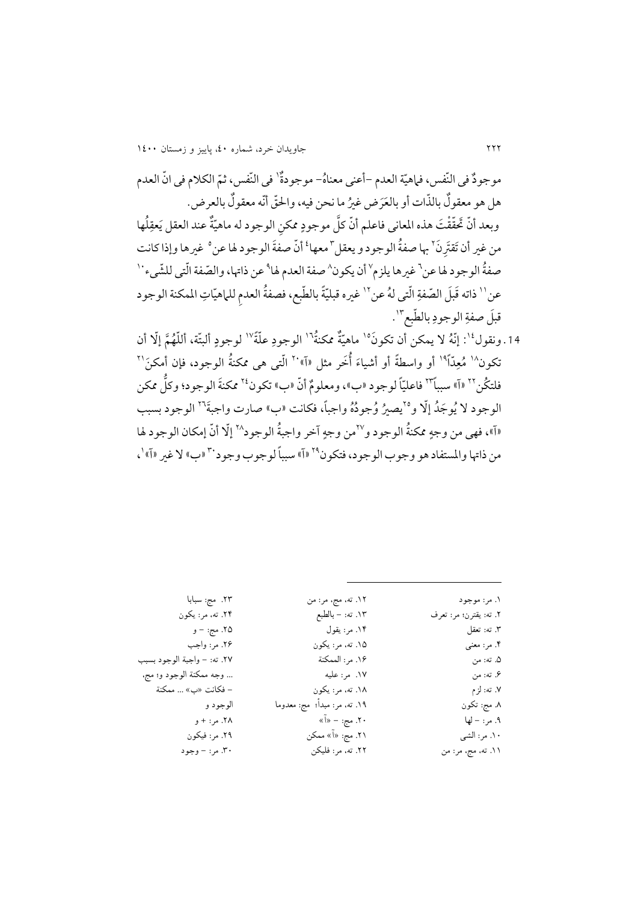موجودٌ في النّفس، فماهيّة العدم –أعني معناهُ– موجودةٌ' في النّفس، ثمّ الكلام في انّ العدم هل هو معقولٌ بالذّات أو بالعَرَض غيرُ ما نحن فيه، والحقّ أنّه معقولٌ بالعرض. وبعد أنّ تَحقّقْتَ هذه المعاني فاعلم أنّ كلَّ موجودٍ ممكن الوجود له ماهيّةٌ عند العقل يَعقِلُها من غير أن تَقتَرنَ<sup>7</sup> بها صفةُ الوجود و يعقل <sup>٣</sup>معها<sup>؛</sup> أنّ صفةَ الوجود لها عن ° غيرها وإذا كانت صفةُ الوجود له عن<sup>٦</sup> غيرها يلزم `` أن يكون ` صفة العدم لها ْ عن ذاتها، والصّفة الّتي للشّيء ` ` عن'' ذاته قَبلَ الصّفةِ الّتي لهُ عنّ'' غيره قبليّةً بالطّبع، فصفةُ العدم للماهيّاتِ الممكنة الوجود ِ قبلَ صفةِ الوجودِ بالطّبعِ".

14. ونقول<sup>، و</sup> : إنّهُ لا يمكن أن تكونَ<sup>ه</sup>' ماهيّةٌ ممكنةٌ'' الوجودِ علّةً<sup>\''</sup> لوجودٍ ألبتّة، أللّهُمَّ إلّا أن تكون<sup>۱۸</sup> مُعِدّاً<sup>1۹</sup> أو واسطةً أو أشياءَ أُخَر مثل «آ»<sup>۲۰</sup> الّت<sub>ى</sub> هى ممكنةُ الوجود، فإن أمكنَ<sup>۲۱</sup> فلتكُن™ «آ» سبباً™ فاعليّاً لوجود «ب»، ومعلومٌ أنّ «ب» تكون<sup>٢٤</sup> ممكنةَ الوجود؛ وكلَّ ممكن الوجود لا يُوجَدُ إلّا و°`يصيرُ وُجودُهُ واجباً، فكانت «ب» صارت واجبةً<sup>٢٦</sup> الوجود بسبب «آ»، فهي من وجهِ ممكنةُ الوجود و<sup>77</sup>من وجهِ آخر واجبةُ الوجود<sup>74</sup> إلّا أنّ إمكان الوجود لها من ذاتها والمستفاد هو وجوب الوجود، فتكون<sup>79</sup> «آ» سبباً لوجوب وجود<sup>.۳</sup> «ب» لا غير «آ» '،

> .1 مر: موجود .2 ته: یقترن؛ مر: تعرف .3 ته: تعقل .4 مر: معنی .5 ته: من .6 ته: من .7 ته: لزم .8 مج: تکون .9 مر: - لها .10 مر: الشی .11 ته، مج، مر: من .12 ته، مج، مر: من .13 ته: - بالطبع .14 مر: یقول .15 ته، مر: یکون .16 مر: الممکنة .17 مر: علیه .18 ته، مر: یکون .19 ته، مر: مبدأ؛ مج: معدوما .20 مج: - »آ« ۲۱. مج: «آ» ممکن .22 ته، مر: فلیکن

 $\overline{a}$ 

.23 مج: سبابا .24 ته، مر: یکون .25 مج: - و .26 مر: واجب .27 ته: - واجبة الوجود بسبب ... وجه ممکنة الوجود و؛ مج، - فکانت »ب« ... ممکنة الوجود و .28 مر: + و .29 مر: فیکون .30 مر: - وجود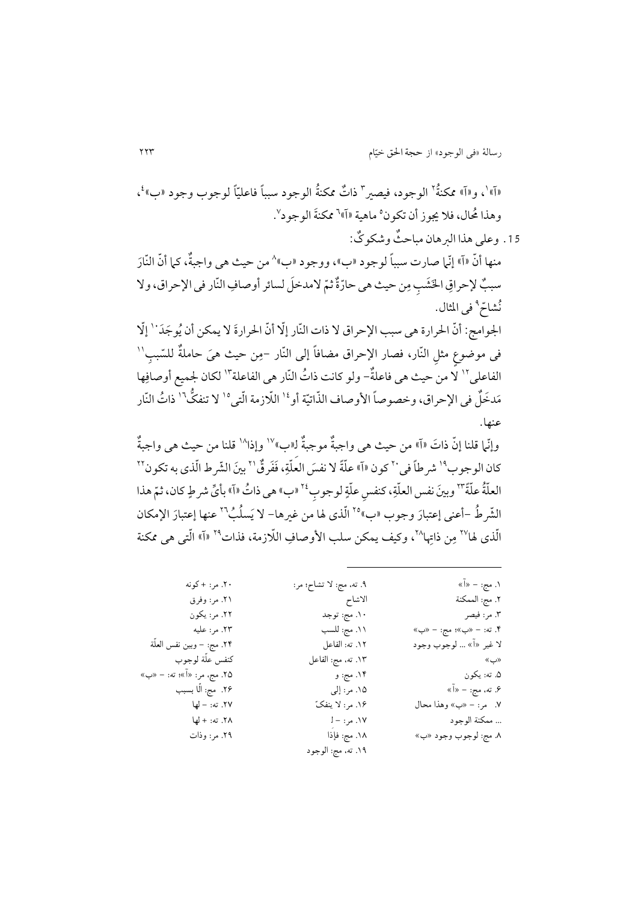«آ»'، و«آ» ممکنةٌ<sup>۲</sup> الوجود، فیصیر ّ ذاتٌ ممکنةُ الوجود سبباً فاعلیّاً لوجوب وجود «ب»<sup>،</sup>، وهذا مُحال، فلا يجوز أن تكون °ماهية «آ» ٌ ممكنةَ الوجود ٌ.

.10 وعلی هذا الربهان مباح ٌث وشکو ٌک: منها أنّ «آ» إنّما صارت سبباً لوجود «ب»، ووجود «ب»^ من حيث هي واجبةٌ، كما أنّ النّارَ سببٌ لإحراقِ الخَشَبِ مِن حيث هي حارّةٌ ثمّ لامدخلَ لسائر أوصافِ النّار في الإحراق، ولا نُشاحٌ <sup>٩</sup> في المثال. الجوامج: أنّ الحرارة هي سبب الإحراق لا ذات النّار إلّا أنّ الحرارةَ لا يمكن أن يُوجَدَ ٰ ا إلّا <sub>فی</sub> موضوع مثل النّار، فصار الإحراق مضافاً إلی النّار –مِن حیث هیَ حاملةٌ للسّبب<sup>\\</sup> الفاعلی ْ' لَّا من حیث هی فاعلةٌ- ولو كانت ذاتُ النّار هی الفاعلة ْ'' لكان لجمیع أوصافِها مَدخَلٌ في الإحراق، وخصوصاً الأوصاف الذّاتيّة أو $^{1^{\prime}}$  اللّازمة الّتي $^{\prime\prime}$  لا تنفكَّ $^{\prime\prime}$  ذاتُ النّار عنها.

وإنّي| قلنا إنّ ذاتَ «آ» من حيث هي واجبةٌ موجبةٌ لـ«ب»`` وإذا^` قلنا من حيث هي واجبةٌ كان الوجوب<sup>1</sup>ا شرطاً في `` كون «آ» علّةً لا نفسَ العلّةِ، فَفَرقٌ '` بينَ الشّرط الّذي به تكون `` العلّةُ علّةً ``` وبينَ نفس العلّةِ، كنفس علّةٍ لوجوب<sup>٢٤</sup> «ب» هي ذاتُ «آ» بأيٍّ شرطٍ كان، ثمّ هذا الشّرطُ -أعنى إعتبارَ وجوب «ب»°٬ الّذي لها من غيرها- لا يَسلُبُ٬٬ عنها إعتبارَ الإمكان الّذي لها<sup>۲۷</sup> مِن ذاتها<sup>۲۸</sup>، وكيف يمكن سلب الأوصافِ اللّازمة، فذات<sup>۲۹</sup> «آ» الّتي هي ممكنة

| ۲۰. مر: +کونه              | ۹. ته، مج: لا تشاح؛ مر: | ۱. مج: – «آ»             |
|----------------------------|-------------------------|--------------------------|
| ۲۱. مر: وفرق               | الاشاح                  | ٢. مج: الممكنة           |
| ٢٢. مر: يكون               | ۰۱. مج: توجد            | ٣. مر: فيصر              |
| ٢٣. مر: عليه               | ١١. مج: للسب            | ۴. ته: – «ب»؛ مج: – «ب»  |
| ٢۴. مج: – وبين نفس العلَّة | ١٢. ته: الفاعل          | لا غير «آ» … لوجوب وجود  |
| كنفس علّة لوجوب            | ١٣. ته، مج: الفاعل      | «ب»                      |
| ۲۵. مج، مر: «آ»؛ ته: – «ب» | ۱۴. مج: و               | ۵. ته: يکون              |
| ۲۶. مج: الّا بسبب          | ۱۵. مر: إلى             | ۶. ته، مج: – «آ»         |
| ٢٧. ته: - لها              | ۱۶. مر: لا ينفکّ        | ٧.   مر: – «ب» وهذا محال |
| ٢٨. ته: + لها              | ١٧. مر: – J             | ممكنة الوجود             |
| ۲۹. مر: وذات               | ٠١٨. مج: فإذا           | ٨. مج: لوجوب وجود «ب»    |
|                            | ۱۹. ته، مج: الوجود      |                          |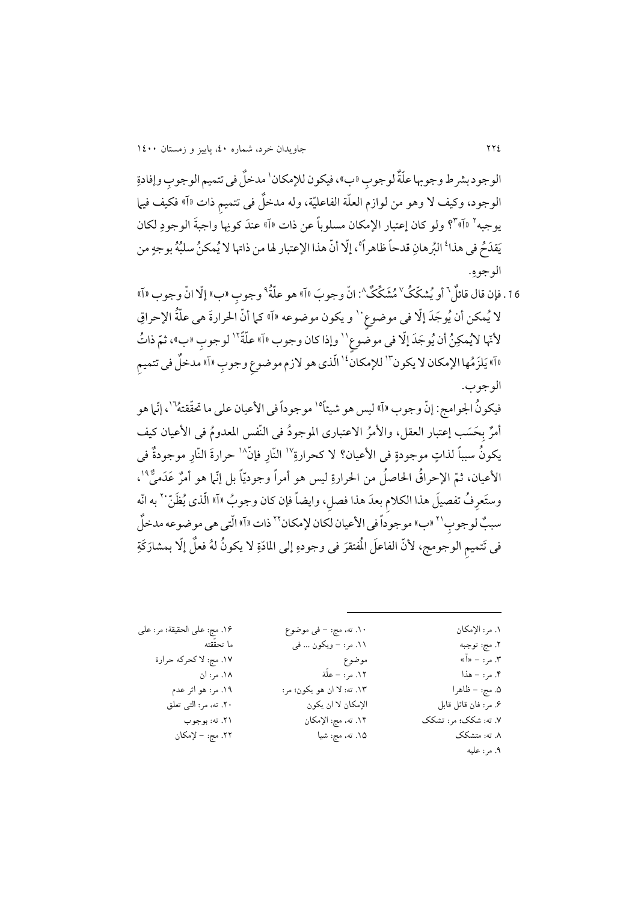الوجود بشر ط وجو بها علّةٌ لوجو ب «ب»، فيكون للإمكان` مدخلٌ في تتميم الوجو ب وإفادةِ الوجود، وكيف لا وهو من لوازم العلَّة الفاعليَّة، وله مدخلٌ في تتميم ذات «آ» فكيف فيها يوجبه<sup>٢</sup> «آ»°؟ ولو كان إعتبار الإمكان مسلوباً عن ذات «آ» عندَ كونِها واجبةَ الوجودِ لكان يَقدَحُ في هذا<sup>ء</sup>ُ البُرهانِ قدحاً ظاهراً°، إلّا أنّ هذا الإعتبار لها من ذاتها لا يُمكنُ سلبُهُ بوجهٍ من ۔<br>الوجوهِ.

16 . فإن قال قائلٌ ` أو يُشكّكُ َ^ مُشَكّكٌ ^: انّ وجوبَ «آ» هو علّةُ ° وجوب «ب» إلّا انّ وجوب «آ» لا يُمكن أن يُوجَدَ إلّا في موضوع ٰ ٰ و يكون موضوعه «آ» كما أنّ الحرارةَ هي علّةُ الإحراقِ لأتّها لايُمكِنُ أن يُوجَدَ إلّا في موضَّوع`` وإذا كان وجوب «آ» علّةً`` لوجوب «ب»، ثمّ ذاتُ «آ» يَلزَمُها الإمكان لا يكون ّ`` للإمكان<sup>،</sup>`` الّذي هو لازم موضوع وجوب «آ» مدخلٌ في تتميم الوجوب.

فيكونُ الجوامج: إنّ وجوب «آ» ليس هو شيئاً°' موجوداً في الأعيان علي ما تحقّقتهُ'`، إنّما هو أمرٌ بِحَسَب إعتبار العقل، والأمرُ الاعتبارى الموجودُ في النّفس المعدومُ في الأعيان كيف يكونُ سبباً لذاتٍ موجودةٍ في الأعيان؟ لا كحرارةِ`` النّار فإنّ<sup>\</sup>` حرارةَ النّار موجودةٌ في الأعيان، ثمّ الإحراقُ الحاصلُ من الحرارةِ ليس هو أمراً وجوديّاً بل إنّما هو أمرٌ عَدَميٌّ <sup>١٩</sup>، ر وستَعرفُ تفصيلَ هذا الكلام بعدَ هذا فصل، وايضاً فإن كان وجوبُ «آ» الّذي يُظَنّ `` به انّه سببٌ لوجوب'` «ب» موجوداً في الأعيان لكان لإمكان'`` ذات «آ» الّتي هي موضوعه مدخلٌ في تَتميم الوجومج، لأنّ الفاعلَ الْمُتقرَ في وجودهِ إلى المادّةِ لا يكونُ لهُ فعلٌ إلّا بمشارَكَةِ

| ١. مر: الإمكان       | ۱۰. ته، مج: – في موضوع     | ١۶. مج: على الحقيقة؛ مر: على |
|----------------------|----------------------------|------------------------------|
| ٢. مج: توجبه         | ۱۱. مر: – ویکون … فی       | ما تحقّقته                   |
| ۲. مر: – «آ»         | موضوع                      | ١٧. مج: لا كحركه حرارة       |
| ۴. مر: – هذا         | ١٢. مر: – علَّة            | ۱۸. مر: ان                   |
| ۵. مج: – ظاهرا       | ١٣. ته: لا ان هو يكون؛ مر: | ۱۹. مر: هو اثر عدم           |
| ۶. مر: فان قائل قابل | الإمكان لا ان يكون         | ۲۰. ته، مر: التبي تعلق       |
| ۷. ته: شکک؛ مر: تشکک | ١۴. ته، مج: الإمكان        | ٢١. ته: بوجوب                |
| ۸. ته: متشکک         | ۱۵. ته، مج: شيا            | ٢٢. مج: – لإمكان             |
| ۹. مر: عليه          |                            |                              |
|                      |                            |                              |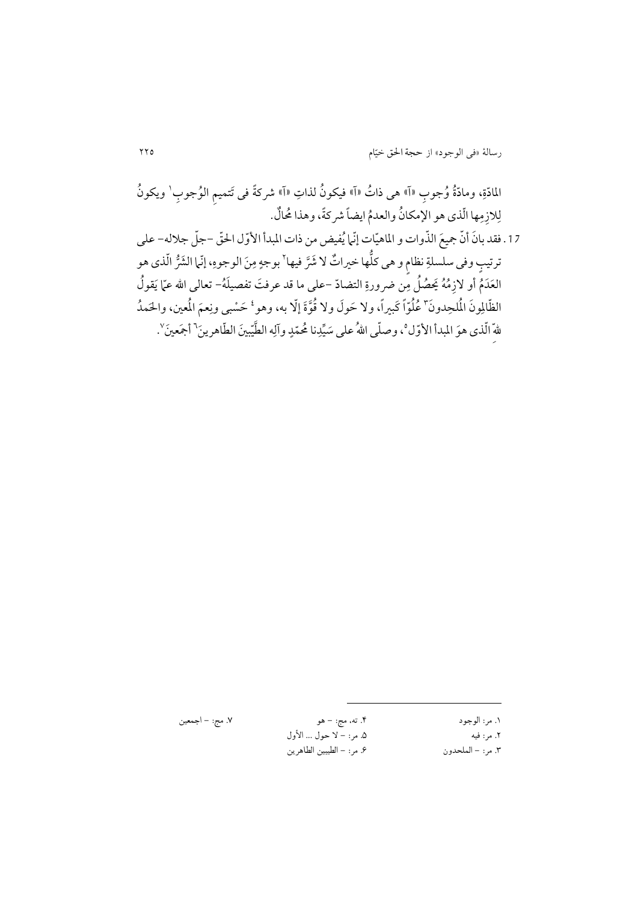المادّةِ، ومادّةُ وُجوب «آ» هي ذاتُ «آ» فيكونُ لذاتِ «آ» شركةً في تَتميم الوُجوب' ويكونُ لِلازِمِها الّذي هو الإمكانُ والعدمُ ايضاً شركةً، وهذا مُحالٌ. 17. فقد بانَ أنّ جميعَ الذّوات و الماهيّات إنّما يُفيض من ذات المبدأ الأوّل الحقّ –جلّ جلاله– على ترتیبٍ وفی سلسلةِ نظام و هی كلُّها خيراتٌ لا شَرَّ فيها\ بوجهٍ مِنَ الوجوهِ، إنّما الشَرُّ الّذي هو العَدَمُّ أو لازِمُهُ يَحصُلُ مِّن ضرورةِ التضادّ –على ما قد عرفتَ تفصيلَهُ– تعالى الله عمّا يَقولُ الظّالِونَ الْمُلحِدونَ" عُلُوّاً كَبيراً، ولا حَولَ ولا قُوَّةَ إلّا به، وهو ٔ حَسْبي ونِعمَ الْمعين، والحَمدُ للهٌ الّذى هوَ المبدأ الأوّل°، وصلّى اللهُ على سَيِّدِنا مُحمّدٍ وآلِه الطَّيّبينَ الطّاهرينَ<sup>7</sup> أجَعينَ<sup>∨</sup>.

| ٧. مج: – ا- | ۴. ته، مج: – هو           | ۱. مر: الوجود     |
|-------------|---------------------------|-------------------|
|             | ۵. مر: – لا حول … الأول   | ٢. مر: فيه        |
|             | ۶. مر: – الطيبين الطاهرين | ٢. مر: – الملحدون |

.7 مج: - اجمعین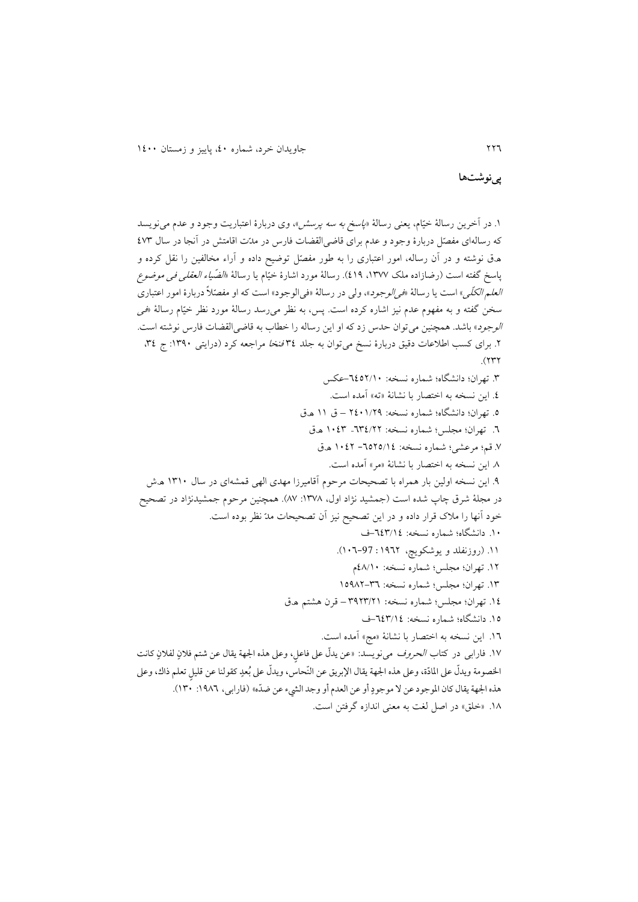**پینوشتها**

۱. در آخرين رسالۀ خيّام، يعني رسالۀ «*پاسخ به سه پرسش»*، وی دربارۀ اعتباريت وجود و عدم میiويسد که رسالهای مفصّل دربارۀ وجود و عدم برای قاضی القضات فارس در مدّت اقامتش در آنجا در سال ٤٧٣ ه.ق نوشته و در آن رساله، امور اعتباری را به طور مفصّل توضیح داده و آراء مخالفین را نقل کرده و پاسخ گفته است (رضازاده ملک ۱۳۷۷، ۱۹). رسالۀ مورد اشارۀ خیّام یا رسالۀ «*الضّیاء العقلی فی موضوع* العلم الکلّی« است يا رسالۀ »فیالوجود«، ولی در رسالۀ »فیالوجود« است که او مفصّال دربارۀ امور اعتباری سخن گفته و به مفهوم عدم نیز اشاره کرده است. پس، به نظر می رسد رسالۀ مورد نظر خیّام رسالۀ «فی ا*لوجود*» باشد. همچنین میتوان حدس زد که او این رساله را خطاب به قاضی القضات فارس نوشته است. ۲. برای کسب اطلاعات دقیق دربارۀ نسخ میتوان به جلد ۳٤ *فنخا مر*اجعه کرد (درایتی ۱۳۹۰: ج ۳٤،  $(117)$ .1 تهران؛ دانشیاه؛ شماره نسخه: -2224/00عک .2 اين نسخه به اختصار با نشانۀ »ته« مده است. .2 تهران؛ دانشیاه؛ شماره نسخه: 4200/42 – ق 00 ھ.ق .2 تهران؛ مجل ؛ شماره نسخه: 212/44– 0021 ھ.ق .2 قم؛ مرعشی؛ شماره نسخه: -2242/02 0024 ھ.ق .1 اين نسخه به اختصار با نشانۀ »مر« مده است. .2 اين نسخه اولین بار همراه با تصحیحات مرحوم قامیرزا مهدی الهی قمشهای در سال 0100 ھ.ش در مجلۀ شرق چاپ شده است (جمشید نژاد اول، ١٣٧٨: ٨٧). همچنین مرحوم جمشیدنژاد در تصحیح خود آنها را ملاک قرار داده و در اين تصحيح نيز آن تصحيحات مدّ نظر بوده است. .00 دانشیاه؛ شماره نسخه: -221/02ف .00 )روزنفلد و يوشکويچ، 0224 : 002-97(. .04 تهران؛ مجل ؛ شماره نسخه: 21/00م ١٣. تهران؛ مجلس؛ شماره نسخه: ٣٦–١٥٩٨٢ .02 تهران؛ مجل ؛ شماره نسخه: 1241/40 – قرن هشتم ھ.ق .02 دانشیاه؛ شماره نسخه: -221/02ف .02 اين نسخه به اختصار با نشانۀ »مج« مده است. .<br>١٧. فارابی در کتاب *الحروف* میiویسد: «عن یدلّ علی فاعلٍ، وعلی هذه الجهة یقال عن شتم فلانٍ لفلانٍ كانت الخصومة ويدلّ على المادّة، وعلى هذه الجهة يقال الإبريق عن النّحاسَ، ويدلّ على بُعدٍ كقولنا عن قليل تعلم ذاك، وعلى ر هذه الجهة يقال كان الموجود عن لا موجودٍ أو عن العدم أو وجد الشيء عن ضدّه» (فارابي، ١٩٨٦: ١٣٠).

.01 »خلق« در اصل لغت به معنی اندازه گرفتن است.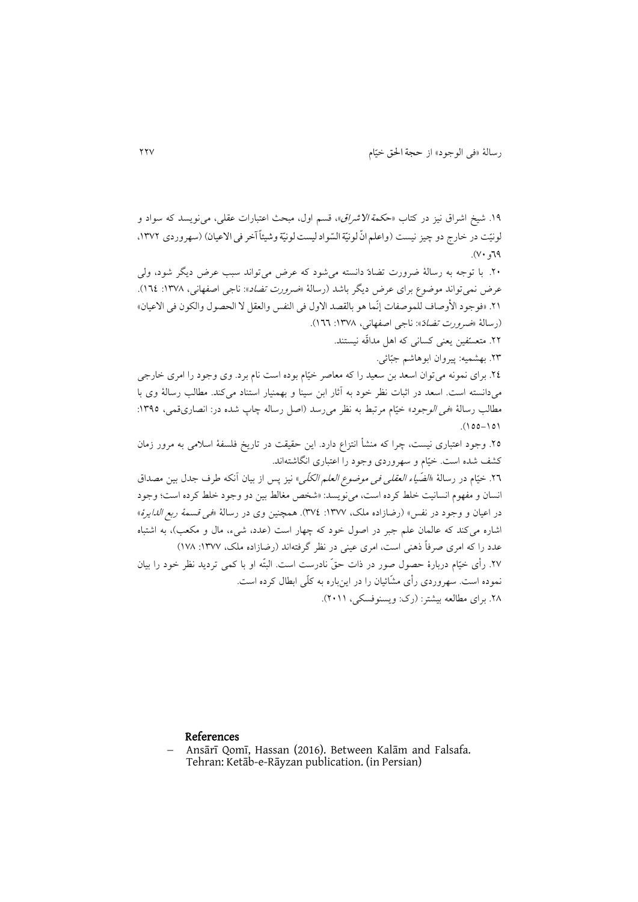۱۹. شیخ اشراق نیز در کتاب «ح*کمة الاشراق*»، قسم اول، مبحث اعتبارات عقلی، می نویسد که سواد و لونیّت در خارج دو چیز نیست (واعلم انّ لونیّة السّوادلیست لونیّة وشیئاً آخر فی الاعیان) (سهروردی ۱۳۷۲،  $P\Gamma$ و  $\gamma$ .

.40 با توجه به رسالۀ درورت تضادّ دانسته میشود که عرض میتواند سبب عرض ديیر شود، ولی عرض نمی تواند موضوع برای عرض دیگر باشد (رسالۀ «*ضرورت تضاد*»: ناجی اصفهانی، ۱۳۷۸: ۱۲٤). .41 «فوجود الأوصاف للموصفات إنّما هو بالقصد الاول فی النفس والعقل لا الحصول والکون فی الاعیان» )رسالۀ »درورت تضادّ«: ناجی اصفهانی، :0121 022(.

.44 متعسّفین يعنی کسانی که اهل مداقّه نیستند.

.41 بهشمیه: پیروان ابوهاشم جبّائی.

.42 برای نمونه میتوان اسعد بن سعید را که معاصر خیّام بوده است نام برد. وی وجود را امری خارجی میدانسته است. اسعد در اثبات نظر خود به ثار ابن سینا و بهمنیار استناد میکند. مطالب رسالۀ وی با مطالب رسالۀ «في *الوجود*» خيّام مرتبط به نظر مي رسد (اصل رساله چاپ شده در: انصاریقمی، ١٣٩٥:  $(00-10)$ 

.42 وجود اعتباری نیست، چرا که منشأ انتزاع دارد. اين حقیقت در تاريخ فلسفۀ اسالمی به مرور زمان کشف شده است. خیّام و سهروردی وجود را اعتباری انیاشتهاند.

.42 خیّام در رسالۀ »الضّیاء العقلی فی مودوع العلم الکلّی« نیز پ از بیان نکه طرف جدل بین مصداق انسان و مفهوم انسانیت خلط کرده است، مینويسد: »شخص مغالط بین دو وجود خلط کرده است؛ وجود در اعیان و وجود در نفس» (رضازاده ملک، ١٣٧٧: ٣٧٤). همچنین وی در رسالۀ «فی قسمۀ ربع *الدایرۀ*» اشاره میکند که عالمان علم جبر در اصول خود که چهار است (عدد، شیء، مال و مکعب)، به اشتباه عدد را که امری صرفاً ذهنی است، امری عینی در نظر گرفتهاند (رضازاده ملک، ۱۳۷۷: ۱۷۸) .42 رأی خیّام دربارۀ حصول صور در ذات حقّ نادرست است. البتّه او با کمی ترديد نظر خود را بیان نموده است. سهروردی رأی مشّائیان را در اينباره به کلّی ابطال کرده است.

.41 برای مطالعه بیشتر: )رک: ويسنوفسکی، 4000(.

### References

 Ansārī Qomī, Hassan (2016). Between Kalām and Falsafa. Tehran: Ketāb-e-Rāyzan publication. (in Persian)